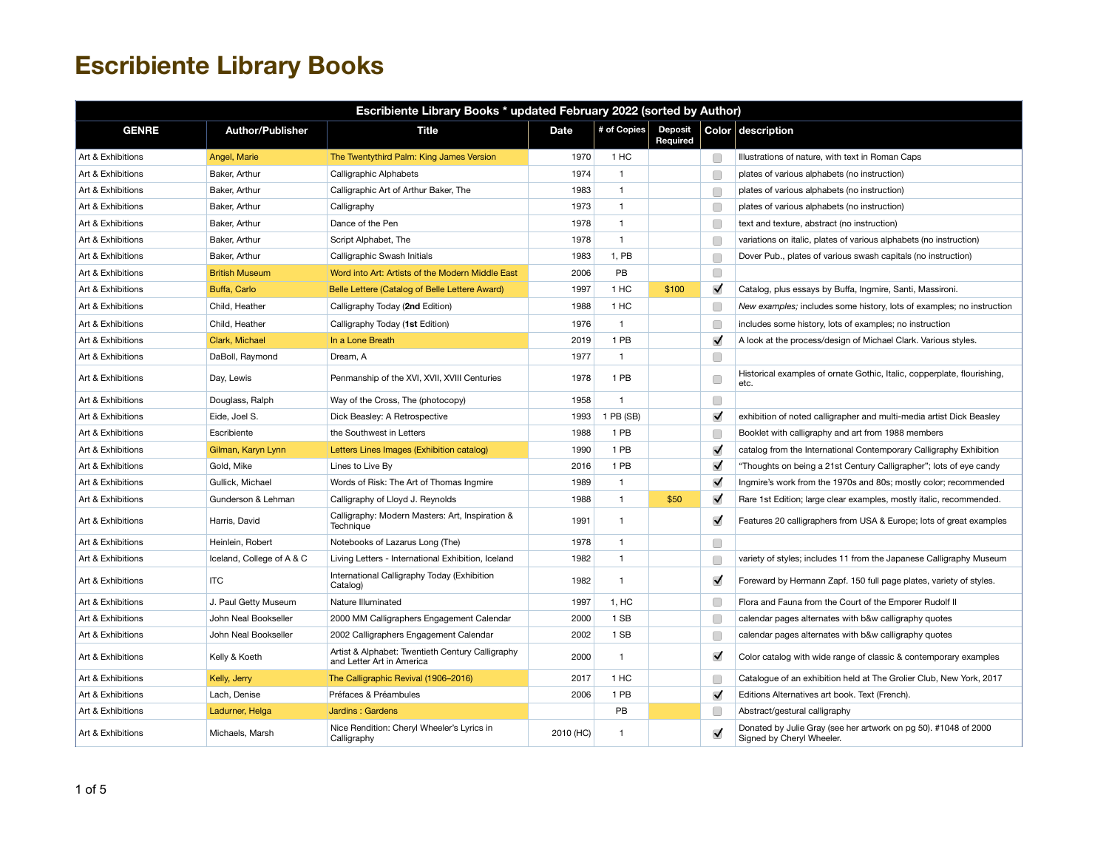| Escribiente Library Books * updated February 2022 (sorted by Author) |                           |                                                                               |           |                |                            |                      |                                                                                              |  |  |
|----------------------------------------------------------------------|---------------------------|-------------------------------------------------------------------------------|-----------|----------------|----------------------------|----------------------|----------------------------------------------------------------------------------------------|--|--|
| <b>GENRE</b>                                                         | <b>Author/Publisher</b>   | <b>Title</b>                                                                  | Date      | # of Copies    | <b>Deposit</b><br>Required |                      | Color description                                                                            |  |  |
| Art & Exhibitions                                                    | Angel, Marie              | The Twentythird Palm: King James Version                                      | 1970      | 1 HC           |                            | O                    | Illustrations of nature, with text in Roman Caps                                             |  |  |
| Art & Exhibitions                                                    | Baker, Arthur             | Calligraphic Alphabets                                                        | 1974      | $\overline{1}$ |                            | Œ                    | plates of various alphabets (no instruction)                                                 |  |  |
| Art & Exhibitions                                                    | Baker, Arthur             | Calligraphic Art of Arthur Baker, The                                         | 1983      | $\mathbf{1}$   |                            | □                    | plates of various alphabets (no instruction)                                                 |  |  |
| Art & Exhibitions                                                    | Baker, Arthur             | Calligraphy                                                                   | 1973      | $\mathbf{1}$   |                            | C                    | plates of various alphabets (no instruction)                                                 |  |  |
| Art & Exhibitions                                                    | Baker, Arthur             | Dance of the Pen                                                              | 1978      | $\mathbf{1}$   |                            | C                    | text and texture, abstract (no instruction)                                                  |  |  |
| Art & Exhibitions                                                    | Baker, Arthur             | Script Alphabet, The                                                          | 1978      | $\mathbf{1}$   |                            | Œ                    | variations on italic, plates of various alphabets (no instruction)                           |  |  |
| Art & Exhibitions                                                    | Baker, Arthur             | Calligraphic Swash Initials                                                   | 1983      | 1, PB          |                            | Œ                    | Dover Pub., plates of various swash capitals (no instruction)                                |  |  |
| Art & Exhibitions                                                    | <b>British Museum</b>     | Word into Art: Artists of the Modern Middle East                              | 2006      | PB             |                            | O                    |                                                                                              |  |  |
| Art & Exhibitions                                                    | Buffa, Carlo              | Belle Lettere (Catalog of Belle Lettere Award)                                | 1997      | 1 HC           | \$100                      | $\blacktriangledown$ | Catalog, plus essays by Buffa, Ingmire, Santi, Massironi.                                    |  |  |
| Art & Exhibitions                                                    | Child, Heather            | Calligraphy Today (2nd Edition)                                               | 1988      | 1 HC           |                            | C                    | New examples; includes some history, lots of examples; no instruction                        |  |  |
| Art & Exhibitions                                                    | Child, Heather            | Calligraphy Today (1st Edition)                                               | 1976      | $\mathbf{1}$   |                            | Г                    | includes some history, lots of examples; no instruction                                      |  |  |
| Art & Exhibitions                                                    | Clark, Michael            | In a Lone Breath                                                              | 2019      | 1 PB           |                            | $\blacktriangledown$ | A look at the process/design of Michael Clark. Various styles.                               |  |  |
| Art & Exhibitions                                                    | DaBoll, Raymond           | Dream, A                                                                      | 1977      | $\mathbf{1}$   |                            | Œ                    |                                                                                              |  |  |
| Art & Exhibitions                                                    | Day, Lewis                | Penmanship of the XVI, XVII, XVIII Centuries                                  | 1978      | 1 PB           |                            | Œ                    | Historical examples of ornate Gothic, Italic, copperplate, flourishing,<br>etc.              |  |  |
| Art & Exhibitions                                                    | Douglass, Ralph           | Way of the Cross, The (photocopy)                                             | 1958      | $\overline{1}$ |                            | O                    |                                                                                              |  |  |
| Art & Exhibitions                                                    | Eide, Joel S.             | Dick Beasley: A Retrospective                                                 | 1993      | 1 PB (SB)      |                            | $\blacktriangledown$ | exhibition of noted calligrapher and multi-media artist Dick Beasley                         |  |  |
| Art & Exhibitions                                                    | Escribiente               | the Southwest in Letters                                                      | 1988      | 1 PB           |                            | □                    | Booklet with calligraphy and art from 1988 members                                           |  |  |
| Art & Exhibitions                                                    | Gilman, Karyn Lynn        | Letters Lines Images (Exhibition catalog)                                     | 1990      | 1 PB           |                            | $\blacktriangledown$ | catalog from the International Contemporary Calligraphy Exhibition                           |  |  |
| Art & Exhibitions                                                    | Gold, Mike                | Lines to Live By                                                              | 2016      | 1 PB           |                            | $\blacktriangledown$ | "Thoughts on being a 21st Century Calligrapher"; lots of eye candy                           |  |  |
| Art & Exhibitions                                                    | Gullick, Michael          | Words of Risk: The Art of Thomas Ingmire                                      | 1989      | $\mathbf{1}$   |                            | $\blacktriangledown$ | Ingmire's work from the 1970s and 80s; mostly color; recommended                             |  |  |
| Art & Exhibitions                                                    | Gunderson & Lehman        | Calligraphy of Lloyd J. Reynolds                                              | 1988      | $\mathbf{1}$   | \$50                       | $\blacktriangledown$ | Rare 1st Edition; large clear examples, mostly italic, recommended.                          |  |  |
| Art & Exhibitions                                                    | Harris, David             | Calligraphy: Modern Masters: Art, Inspiration &<br>Technique                  | 1991      | $\mathbf{1}$   |                            | $\blacktriangledown$ | Features 20 calligraphers from USA & Europe; lots of great examples                          |  |  |
| Art & Exhibitions                                                    | Heinlein, Robert          | Notebooks of Lazarus Long (The)                                               | 1978      | $\mathbf{1}$   |                            | O                    |                                                                                              |  |  |
| Art & Exhibitions                                                    | Iceland, College of A & C | Living Letters - International Exhibition, Iceland                            | 1982      | $\mathbf{1}$   |                            | Œ                    | variety of styles; includes 11 from the Japanese Calligraphy Museum                          |  |  |
| Art & Exhibitions                                                    | <b>ITC</b>                | International Calligraphy Today (Exhibition<br>Catalog)                       | 1982      | $\mathbf{1}$   |                            | $\blacktriangledown$ | Foreward by Hermann Zapf. 150 full page plates, variety of styles.                           |  |  |
| Art & Exhibitions                                                    | J. Paul Getty Museum      | Nature Illuminated                                                            | 1997      | 1, HC          |                            | C                    | Flora and Fauna from the Court of the Emporer Rudolf II                                      |  |  |
| Art & Exhibitions                                                    | John Neal Bookseller      | 2000 MM Calligraphers Engagement Calendar                                     | 2000      | 1 SB           |                            | Œ                    | calendar pages alternates with b&w calligraphy quotes                                        |  |  |
| Art & Exhibitions                                                    | John Neal Bookseller      | 2002 Calligraphers Engagement Calendar                                        | 2002      | 1 SB           |                            | □                    | calendar pages alternates with b&w calligraphy quotes                                        |  |  |
| Art & Exhibitions                                                    | Kelly & Koeth             | Artist & Alphabet: Twentieth Century Calligraphy<br>and Letter Art in America | 2000      | $\mathbf{1}$   |                            | $\blacktriangledown$ | Color catalog with wide range of classic & contemporary examples                             |  |  |
| Art & Exhibitions                                                    | Kelly, Jerry              | The Calligraphic Revival (1906-2016)                                          | 2017      | 1 HC           |                            | □                    | Catalogue of an exhibition held at The Grolier Club, New York, 2017                          |  |  |
| Art & Exhibitions                                                    | Lach. Denise              | Préfaces & Préambules                                                         | 2006      | 1 PB           |                            | $\blacktriangledown$ | Editions Alternatives art book. Text (French).                                               |  |  |
| Art & Exhibitions                                                    | Ladurner, Helga           | Jardins: Gardens                                                              |           | PB             |                            | Œ                    | Abstract/gestural calligraphy                                                                |  |  |
| Art & Exhibitions                                                    | Michaels, Marsh           | Nice Rendition: Cheryl Wheeler's Lyrics in<br>Calligraphy                     | 2010 (HC) | $\mathbf{1}$   |                            | $\blacktriangledown$ | Donated by Julie Gray (see her artwork on pg 50). #1048 of 2000<br>Signed by Cheryl Wheeler. |  |  |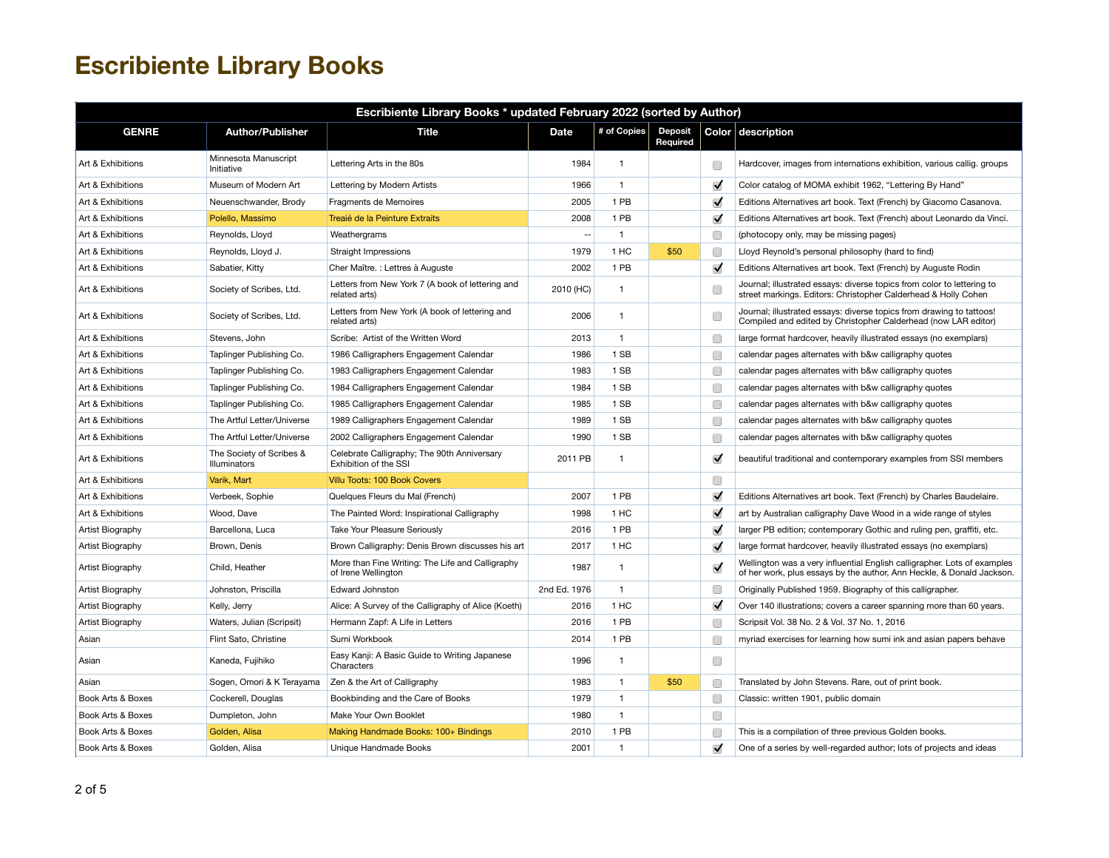| Escribiente Library Books * updated February 2022 (sorted by Author) |                                          |                                                                         |                |                |                            |                      |                                                                                                                                                   |  |  |
|----------------------------------------------------------------------|------------------------------------------|-------------------------------------------------------------------------|----------------|----------------|----------------------------|----------------------|---------------------------------------------------------------------------------------------------------------------------------------------------|--|--|
| <b>GENRE</b>                                                         | <b>Author/Publisher</b>                  | Title                                                                   | <b>Date</b>    | # of Copies    | <b>Deposit</b><br>Required |                      | Color description                                                                                                                                 |  |  |
| Art & Exhibitions                                                    | Minnesota Manuscript<br>Initiative       | Lettering Arts in the 80s                                               | 1984           | $\overline{1}$ |                            | Œ                    | Hardcover, images from internations exhibition, various callig. groups                                                                            |  |  |
| Art & Exhibitions                                                    | Museum of Modern Art                     | Lettering by Modern Artists                                             | 1966           | $\overline{1}$ |                            | $\blacktriangledown$ | Color catalog of MOMA exhibit 1962, "Lettering By Hand"                                                                                           |  |  |
| Art & Exhibitions                                                    | Neuenschwander, Brody                    | Fragments de Memoires                                                   | 2005           | 1 PB           |                            | $\blacktriangledown$ | Editions Alternatives art book. Text (French) by Giacomo Casanova.                                                                                |  |  |
| Art & Exhibitions                                                    | Polello, Massimo                         | Treaié de la Peinture Extraits                                          | 2008           | 1 PB           |                            | $\blacktriangledown$ | Editions Alternatives art book. Text (French) about Leonardo da Vinci.                                                                            |  |  |
| Art & Exhibitions                                                    | Reynolds, Lloyd                          | Weathergrams                                                            | $\overline{a}$ | $\overline{1}$ |                            | Œ                    | (photocopy only, may be missing pages)                                                                                                            |  |  |
| Art & Exhibitions                                                    | Reynolds, Lloyd J.                       | Straight Impressions                                                    | 1979           | 1 HC           | \$50                       | □                    | Lloyd Reynold's personal philosophy (hard to find)                                                                                                |  |  |
| Art & Exhibitions                                                    | Sabatier, Kitty                          | Cher Maître. : Lettres à Auguste                                        | 2002           | 1 PB           |                            | $\blacktriangledown$ | Editions Alternatives art book. Text (French) by Auguste Rodin                                                                                    |  |  |
| Art & Exhibitions                                                    | Society of Scribes, Ltd.                 | Letters from New York 7 (A book of lettering and<br>related arts)       | 2010 (HC)      | $\mathbf{1}$   |                            | C                    | Journal; illustrated essays: diverse topics from color to lettering to<br>street markings. Editors: Christopher Calderhead & Holly Cohen          |  |  |
| Art & Exhibitions                                                    | Society of Scribes, Ltd.                 | Letters from New York (A book of lettering and<br>related arts)         | 2006           | $\overline{1}$ |                            | O                    | Journal; illustrated essays: diverse topics from drawing to tattoos!<br>Compiled and edited by Christopher Calderhead (now LAR editor)            |  |  |
| Art & Exhibitions                                                    | Stevens, John                            | Scribe: Artist of the Written Word                                      | 2013           | $\mathbf{1}$   |                            | C                    | large format hardcover, heavily illustrated essays (no exemplars)                                                                                 |  |  |
| Art & Exhibitions                                                    | Taplinger Publishing Co.                 | 1986 Calligraphers Engagement Calendar                                  | 1986           | 1 SB           |                            | C                    | calendar pages alternates with b&w calligraphy quotes                                                                                             |  |  |
| Art & Exhibitions                                                    | Taplinger Publishing Co.                 | 1983 Calligraphers Engagement Calendar                                  | 1983           | 1 SB           |                            | Œ                    | calendar pages alternates with b&w calligraphy quotes                                                                                             |  |  |
| Art & Exhibitions                                                    | Taplinger Publishing Co.                 | 1984 Calligraphers Engagement Calendar                                  | 1984           | 1 SB           |                            | Œ                    | calendar pages alternates with b&w calligraphy quotes                                                                                             |  |  |
| Art & Exhibitions                                                    | Taplinger Publishing Co.                 | 1985 Calligraphers Engagement Calendar                                  | 1985           | 1 SB           |                            | Œ                    | calendar pages alternates with b&w calligraphy quotes                                                                                             |  |  |
| Art & Exhibitions                                                    | The Artful Letter/Universe               | 1989 Calligraphers Engagement Calendar                                  | 1989           | 1 SB           |                            | Г                    | calendar pages alternates with b&w calligraphy quotes                                                                                             |  |  |
| Art & Exhibitions                                                    | The Artful Letter/Universe               | 2002 Calligraphers Engagement Calendar                                  | 1990           | 1 SB           |                            | C                    | calendar pages alternates with b&w calligraphy quotes                                                                                             |  |  |
| Art & Exhibitions                                                    | The Society of Scribes &<br>Illuminators | Celebrate Calligraphy; The 90th Anniversary<br>Exhibition of the SSI    | 2011 PB        | $\overline{1}$ |                            | $\blacktriangledown$ | beautiful traditional and contemporary examples from SSI members                                                                                  |  |  |
| Art & Exhibitions                                                    | Varik, Mart                              | Villu Toots: 100 Book Covers                                            |                |                |                            | O                    |                                                                                                                                                   |  |  |
| Art & Exhibitions                                                    | Verbeek, Sophie                          | Quelques Fleurs du Mal (French)                                         | 2007           | 1 PB           |                            | $\blacktriangledown$ | Editions Alternatives art book. Text (French) by Charles Baudelaire.                                                                              |  |  |
| Art & Exhibitions                                                    | Wood, Dave                               | The Painted Word: Inspirational Calligraphy                             | 1998           | 1 HC           |                            | $\blacktriangledown$ | art by Australian calligraphy Dave Wood in a wide range of styles                                                                                 |  |  |
| Artist Biography                                                     | Barcellona, Luca                         | Take Your Pleasure Seriously                                            | 2016           | 1 PB           |                            | $\blacktriangledown$ | larger PB edition; contemporary Gothic and ruling pen, graffiti, etc.                                                                             |  |  |
| Artist Biography                                                     | Brown, Denis                             | Brown Calligraphy: Denis Brown discusses his art                        | 2017           | 1 HC           |                            | $\blacktriangledown$ | large format hardcover, heavily illustrated essays (no exemplars)                                                                                 |  |  |
| Artist Biography                                                     | Child, Heather                           | More than Fine Writing: The Life and Calligraphy<br>of Irene Wellington | 1987           | $\mathbf{1}$   |                            | $\blacktriangledown$ | Wellington was a very influential English calligrapher. Lots of examples<br>of her work, plus essays by the author, Ann Heckle, & Donald Jackson. |  |  |
| Artist Biography                                                     | Johnston, Priscilla                      | <b>Edward Johnston</b>                                                  | 2nd Ed. 1976   | $\mathbf{1}$   |                            | Г                    | Originally Published 1959. Biography of this calligrapher.                                                                                        |  |  |
| Artist Biography                                                     | Kelly, Jerry                             | Alice: A Survey of the Calligraphy of Alice (Koeth)                     | 2016           | 1 HC           |                            | $\blacktriangledown$ | Over 140 illustrations; covers a career spanning more than 60 years.                                                                              |  |  |
| Artist Biography                                                     | Waters, Julian (Scripsit)                | Hermann Zapf: A Life in Letters                                         | 2016           | 1 PB           |                            | Œ                    | Scripsit Vol. 38 No. 2 & Vol. 37 No. 1, 2016                                                                                                      |  |  |
| Asian                                                                | Flint Sato, Christine                    | Sumi Workbook                                                           | 2014           | 1 PB           |                            | Г                    | myriad exercises for learning how sumi ink and asian papers behave                                                                                |  |  |
| Asian                                                                | Kaneda, Fujihiko                         | Easy Kanji: A Basic Guide to Writing Japanese<br>Characters             | 1996           | $\mathbf{1}$   |                            | □                    |                                                                                                                                                   |  |  |
| Asian                                                                | Sogen, Omori & K Terayama                | Zen & the Art of Calligraphy                                            | 1983           | $\mathbf{1}$   | \$50                       | □                    | Translated by John Stevens. Rare, out of print book.                                                                                              |  |  |
| Book Arts & Boxes                                                    | Cockerell, Douglas                       | Bookbinding and the Care of Books                                       | 1979           | $\mathbf{1}$   |                            | Œ                    | Classic: written 1901, public domain                                                                                                              |  |  |
| Book Arts & Boxes                                                    | Dumpleton, John                          | Make Your Own Booklet                                                   | 1980           | $\mathbf{1}$   |                            | □                    |                                                                                                                                                   |  |  |
| Book Arts & Boxes                                                    | Golden, Alisa                            | Making Handmade Books: 100+ Bindings                                    | 2010           | 1 PB           |                            | Г                    | This is a compilation of three previous Golden books.                                                                                             |  |  |
| Book Arts & Boxes                                                    | Golden, Alisa                            | Unique Handmade Books                                                   | 2001           | $\overline{1}$ |                            | $\blacktriangledown$ | One of a series by well-regarded author; lots of projects and ideas                                                                               |  |  |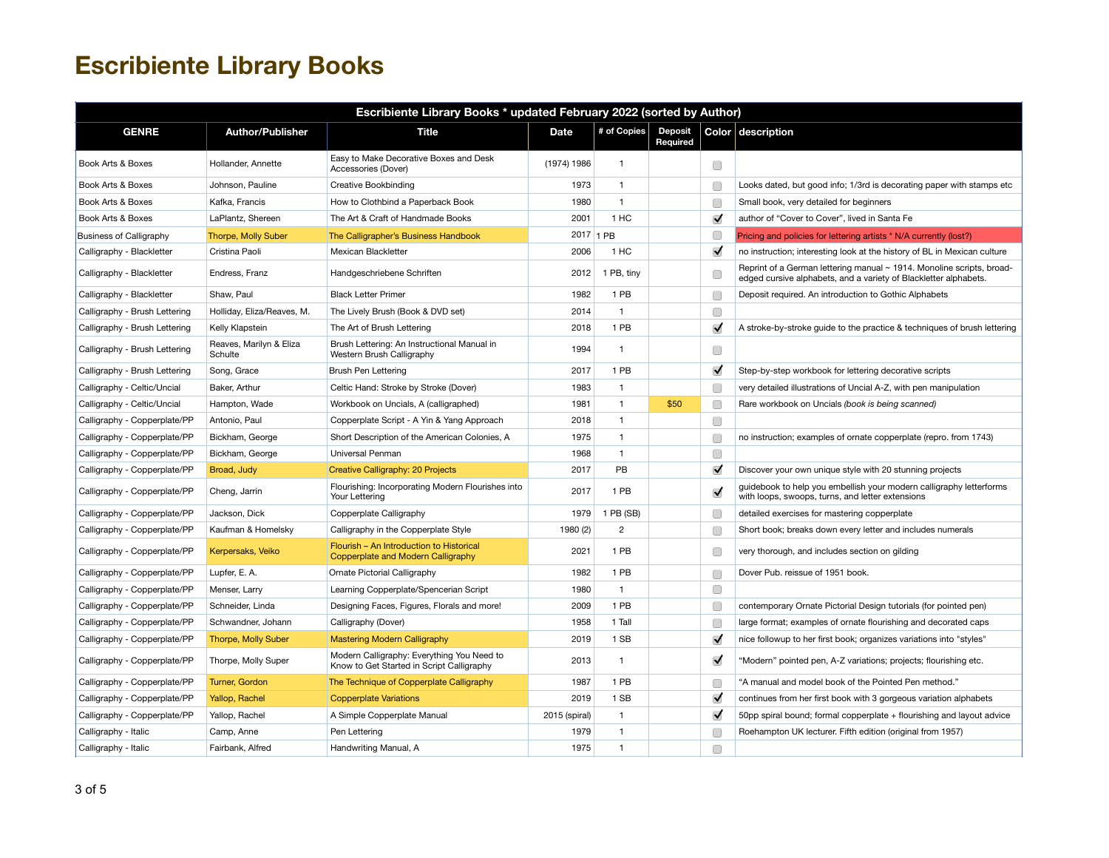| Escribiente Library Books * updated February 2022 (sorted by Author) |                                    |                                                                                         |               |                |                            |                      |                                                                                                                                           |  |  |
|----------------------------------------------------------------------|------------------------------------|-----------------------------------------------------------------------------------------|---------------|----------------|----------------------------|----------------------|-------------------------------------------------------------------------------------------------------------------------------------------|--|--|
| <b>GENRE</b>                                                         | <b>Author/Publisher</b>            | <b>Title</b>                                                                            | <b>Date</b>   | # of Copies    | <b>Deposit</b><br>Required |                      | Color description                                                                                                                         |  |  |
| Book Arts & Boxes                                                    | Hollander, Annette                 | Easy to Make Decorative Boxes and Desk<br>Accessories (Dover)                           | (1974) 1986   | $\mathbf{1}$   |                            | □                    |                                                                                                                                           |  |  |
| Book Arts & Boxes                                                    | Johnson, Pauline                   | <b>Creative Bookbinding</b>                                                             | 1973          | $\mathbf{1}$   |                            | Г                    | Looks dated, but good info; 1/3rd is decorating paper with stamps etc                                                                     |  |  |
| Book Arts & Boxes                                                    | Kafka, Francis                     | How to Clothbind a Paperback Book                                                       | 1980          | $\mathbf{1}$   |                            | Г                    | Small book, very detailed for beginners                                                                                                   |  |  |
| Book Arts & Boxes                                                    | LaPlantz, Shereen                  | The Art & Craft of Handmade Books                                                       | 2001          | 1 HC           |                            | $\blacktriangledown$ | author of "Cover to Cover", lived in Santa Fe                                                                                             |  |  |
| <b>Business of Calligraphy</b>                                       | Thorpe, Molly Suber                | The Calligrapher's Business Handbook                                                    |               | 2017 1 PB      |                            | C                    | Pricing and policies for lettering artists * N/A currently (lost?)                                                                        |  |  |
| Calligraphy - Blackletter                                            | Cristina Paoli                     | Mexican Blackletter                                                                     | 2006          | 1 HC           |                            | $\blacktriangledown$ | no instruction; interesting look at the history of BL in Mexican culture                                                                  |  |  |
| Calligraphy - Blackletter                                            | Endress, Franz                     | Handgeschriebene Schriften                                                              | 2012          | 1 PB, tiny     |                            | C                    | Reprint of a German lettering manual ~ 1914. Monoline scripts, broad-<br>edged cursive alphabets, and a variety of Blackletter alphabets. |  |  |
| Calligraphy - Blackletter                                            | Shaw. Paul                         | <b>Black Letter Primer</b>                                                              | 1982          | 1 PB           |                            | Г                    | Deposit required. An introduction to Gothic Alphabets                                                                                     |  |  |
| Calligraphy - Brush Lettering                                        | Holliday, Eliza/Reaves, M.         | The Lively Brush (Book & DVD set)                                                       | 2014          | $\mathbf{1}$   |                            | O                    |                                                                                                                                           |  |  |
| Calligraphy - Brush Lettering                                        | Kelly Klapstein                    | The Art of Brush Lettering                                                              | 2018          | 1 PB           |                            | $\blacktriangledown$ | A stroke-by-stroke guide to the practice & techniques of brush lettering                                                                  |  |  |
| Calligraphy - Brush Lettering                                        | Reaves, Marilyn & Eliza<br>Schulte | Brush Lettering: An Instructional Manual in<br>Western Brush Calligraphy                | 1994          | $\mathbf{1}$   |                            | □                    |                                                                                                                                           |  |  |
| Calligraphy - Brush Lettering                                        | Song, Grace                        | Brush Pen Lettering                                                                     | 2017          | 1 PB           |                            | $\blacktriangledown$ | Step-by-step workbook for lettering decorative scripts                                                                                    |  |  |
| Calligraphy - Celtic/Uncial                                          | Baker, Arthur                      | Celtic Hand: Stroke by Stroke (Dover)                                                   | 1983          | $\mathbf{1}$   |                            | Г                    | very detailed illustrations of Uncial A-Z, with pen manipulation                                                                          |  |  |
| Calligraphy - Celtic/Uncial                                          | Hampton, Wade                      | Workbook on Uncials, A (calligraphed)                                                   | 1981          | $\mathbf{1}$   | \$50                       | Г                    | Rare workbook on Uncials (book is being scanned)                                                                                          |  |  |
| Calligraphy - Copperplate/PP                                         | Antonio, Paul                      | Copperplate Script - A Yin & Yang Approach                                              | 2018          | $\mathbf{1}$   |                            | $\Box$               |                                                                                                                                           |  |  |
| Calligraphy - Copperplate/PP                                         | Bickham, George                    | Short Description of the American Colonies, A                                           | 1975          | $\mathbf{1}$   |                            | C                    | no instruction; examples of ornate copperplate (repro. from 1743)                                                                         |  |  |
| Calligraphy - Copperplate/PP                                         | Bickham, George                    | Universal Penman                                                                        | 1968          | $\mathbf{1}$   |                            | O                    |                                                                                                                                           |  |  |
| Calligraphy - Copperplate/PP                                         | Broad, Judy                        | Creative Calligraphy: 20 Projects                                                       | 2017          | PB             |                            | $\blacktriangledown$ | Discover your own unique style with 20 stunning projects                                                                                  |  |  |
| Calligraphy - Copperplate/PP                                         | Cheng, Jarrin                      | Flourishing: Incorporating Modern Flourishes into<br>Your Lettering                     | 2017          | 1 PB           |                            | $\blacktriangledown$ | guidebook to help you embellish your modern calligraphy letterforms<br>with loops, swoops, turns, and letter extensions                   |  |  |
| Calligraphy - Copperplate/PP                                         | Jackson, Dick                      | Copperplate Calligraphy                                                                 | 1979          | 1 PB (SB)      |                            | C                    | detailed exercises for mastering copperplate                                                                                              |  |  |
| Calligraphy - Copperplate/PP                                         | Kaufman & Homelsky                 | Calligraphy in the Copperplate Style                                                    | 1980 (2)      | $\overline{c}$ |                            | Г                    | Short book; breaks down every letter and includes numerals                                                                                |  |  |
| Calligraphy - Copperplate/PP                                         | Kerpersaks, Veiko                  | Flourish - An Introduction to Historical<br>Copperplate and Modern Calligraphy          | 2021          | 1 PB           |                            | Г                    | very thorough, and includes section on gilding                                                                                            |  |  |
| Calligraphy - Copperplate/PP                                         | Lupfer, E. A.                      | Ornate Pictorial Calligraphy                                                            | 1982          | 1 PB           |                            | С                    | Dover Pub. reissue of 1951 book.                                                                                                          |  |  |
| Calligraphy - Copperplate/PP                                         | Menser, Larry                      | Learning Copperplate/Spencerian Script                                                  | 1980          | $\mathbf{1}$   |                            | O                    |                                                                                                                                           |  |  |
| Calligraphy - Copperplate/PP                                         | Schneider, Linda                   | Designing Faces, Figures, Florals and more!                                             | 2009          | 1 PB           |                            | C                    | contemporary Ornate Pictorial Design tutorials (for pointed pen)                                                                          |  |  |
| Calligraphy - Copperplate/PP                                         | Schwandner, Johann                 | Calligraphy (Dover)                                                                     | 1958          | 1 Tall         |                            | Г                    | large format; examples of ornate flourishing and decorated caps                                                                           |  |  |
| Calligraphy - Copperplate/PP                                         | <b>Thorpe, Molly Suber</b>         | <b>Mastering Modern Calligraphy</b>                                                     | 2019          | 1 SB           |                            | $\blacktriangledown$ | nice followup to her first book; organizes variations into "styles"                                                                       |  |  |
| Calligraphy - Copperplate/PP                                         | Thorpe, Molly Super                | Modern Calligraphy: Everything You Need to<br>Know to Get Started in Script Calligraphy | 2013          | $\mathbf{1}$   |                            | $\blacktriangledown$ | "Modern" pointed pen, A-Z variations; projects; flourishing etc.                                                                          |  |  |
| Calligraphy - Copperplate/PP                                         | Turner, Gordon                     | The Technique of Copperplate Calligraphy                                                | 1987          | 1 PB           |                            | Г                    | "A manual and model book of the Pointed Pen method."                                                                                      |  |  |
| Calligraphy - Copperplate/PP                                         | Yallop, Rachel                     | <b>Copperplate Variations</b>                                                           | 2019          | 1 SB           |                            | $\checkmark$         | continues from her first book with 3 gorgeous variation alphabets                                                                         |  |  |
| Calligraphy - Copperplate/PP                                         | Yallop, Rachel                     | A Simple Copperplate Manual                                                             | 2015 (spiral) | $\mathbf{1}$   |                            | $\blacktriangledown$ | 50pp spiral bound; formal copperplate + flourishing and layout advice                                                                     |  |  |
| Calligraphy - Italic                                                 | Camp, Anne                         | Pen Lettering                                                                           | 1979          | $\mathbf{1}$   |                            | Г                    | Roehampton UK lecturer. Fifth edition (original from 1957)                                                                                |  |  |
| Calligraphy - Italic                                                 | Fairbank, Alfred                   | Handwriting Manual, A                                                                   | 1975          | $\mathbf{1}$   |                            | $\Box$               |                                                                                                                                           |  |  |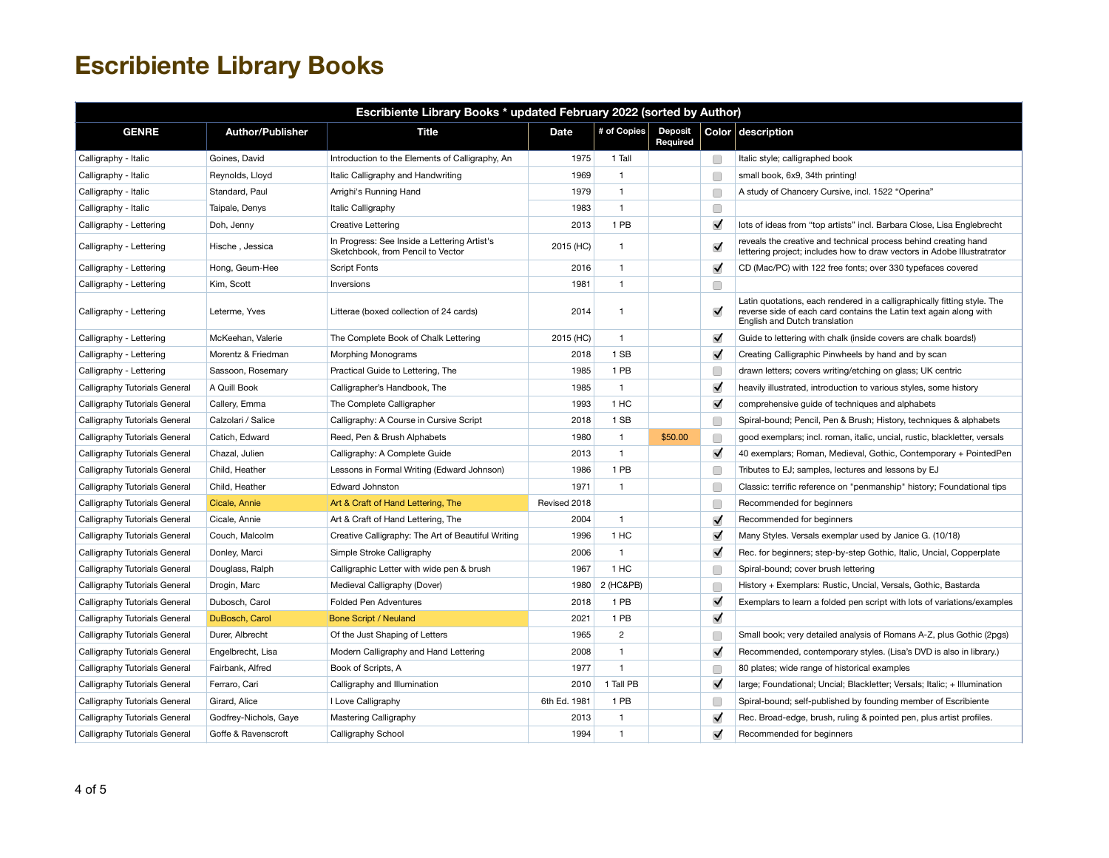| Escribiente Library Books * updated February 2022 (sorted by Author) |                         |                                                                                   |              |                |                            |                      |                                                                                                                                                                                 |  |
|----------------------------------------------------------------------|-------------------------|-----------------------------------------------------------------------------------|--------------|----------------|----------------------------|----------------------|---------------------------------------------------------------------------------------------------------------------------------------------------------------------------------|--|
| <b>GENRE</b>                                                         | <b>Author/Publisher</b> | <b>Title</b>                                                                      | <b>Date</b>  | # of Copies    | <b>Deposit</b><br>Required |                      | Color description                                                                                                                                                               |  |
| Calligraphy - Italic                                                 | Goines, David           | Introduction to the Elements of Calligraphy, An                                   | 1975         | 1 Tall         |                            | $\Box$               | Italic style; calligraphed book                                                                                                                                                 |  |
| Calligraphy - Italic                                                 | Reynolds, Lloyd         | Italic Calligraphy and Handwriting                                                | 1969         | $\mathbf{1}$   |                            | Œ                    | small book, 6x9, 34th printing!                                                                                                                                                 |  |
| Calligraphy - Italic                                                 | Standard, Paul          | Arrighi's Running Hand                                                            | 1979         | $\mathbf{1}$   |                            | C                    | A study of Chancery Cursive, incl. 1522 "Operina"                                                                                                                               |  |
| Calligraphy - Italic                                                 | Taipale, Denys          | Italic Calligraphy                                                                | 1983         | $\mathbf{1}$   |                            | □                    |                                                                                                                                                                                 |  |
| Calligraphy - Lettering                                              | Doh, Jenny              | <b>Creative Lettering</b>                                                         | 2013         | 1 PB           |                            | $\blacktriangledown$ | lots of ideas from "top artists" incl. Barbara Close, Lisa Englebrecht                                                                                                          |  |
| Calligraphy - Lettering                                              | Hische, Jessica         | In Progress: See Inside a Lettering Artist's<br>Sketchbook, from Pencil to Vector | 2015 (HC)    | $\mathbf{1}$   |                            | $\blacktriangledown$ | reveals the creative and technical process behind creating hand<br>lettering project; includes how to draw vectors in Adobe Illustratrator                                      |  |
| Calligraphy - Lettering                                              | Hong, Geum-Hee          | <b>Script Fonts</b>                                                               | 2016         | $\mathbf{1}$   |                            | $\blacktriangledown$ | CD (Mac/PC) with 122 free fonts; over 330 typefaces covered                                                                                                                     |  |
| Calligraphy - Lettering                                              | Kim, Scott              | Inversions                                                                        | 1981         | $\mathbf{1}$   |                            | C                    |                                                                                                                                                                                 |  |
| Calligraphy - Lettering                                              | Leterme. Yves           | Litterae (boxed collection of 24 cards)                                           | 2014         | $\mathbf{1}$   |                            | $\blacktriangledown$ | Latin quotations, each rendered in a calligraphically fitting style. The<br>reverse side of each card contains the Latin text again along with<br>English and Dutch translation |  |
| Calligraphy - Lettering                                              | McKeehan, Valerie       | The Complete Book of Chalk Lettering                                              | 2015 (HC)    | $\mathbf{1}$   |                            | $\blacktriangledown$ | Guide to lettering with chalk (inside covers are chalk boards!)                                                                                                                 |  |
| Calligraphy - Lettering                                              | Morentz & Friedman      | Morphing Monograms                                                                | 2018         | 1 SB           |                            | $\blacktriangledown$ | Creating Calligraphic Pinwheels by hand and by scan                                                                                                                             |  |
| Calligraphy - Lettering                                              | Sassoon, Rosemary       | Practical Guide to Lettering, The                                                 | 1985         | 1 PB           |                            | Г                    | drawn letters; covers writing/etching on glass; UK centric                                                                                                                      |  |
| Calligraphy Tutorials General                                        | A Quill Book            | Calligrapher's Handbook, The                                                      | 1985         | $\mathbf{1}$   |                            | $\blacktriangledown$ | heavily illustrated, introduction to various styles, some history                                                                                                               |  |
| Calligraphy Tutorials General                                        | Callery, Emma           | The Complete Calligrapher                                                         | 1993         | 1 HC           |                            | $\blacktriangledown$ | comprehensive guide of techniques and alphabets                                                                                                                                 |  |
| Calligraphy Tutorials General                                        | Calzolari / Salice      | Calligraphy: A Course in Cursive Script                                           | 2018         | 1 SB           |                            | Œ                    | Spiral-bound; Pencil, Pen & Brush; History, techniques & alphabets                                                                                                              |  |
| Calligraphy Tutorials General                                        | Catich, Edward          | Reed, Pen & Brush Alphabets                                                       | 1980         | $\mathbf{1}$   | \$50.00                    | C                    | good exemplars; incl. roman, italic, uncial, rustic, blackletter, versals                                                                                                       |  |
| Calligraphy Tutorials General                                        | Chazal, Julien          | Calligraphy: A Complete Guide                                                     | 2013         | $\mathbf{1}$   |                            | $\blacktriangledown$ | 40 exemplars; Roman, Medieval, Gothic, Contemporary + PointedPen                                                                                                                |  |
| Calligraphy Tutorials General                                        | Child, Heather          | Lessons in Formal Writing (Edward Johnson)                                        | 1986         | 1 PB           |                            | Г                    | Tributes to EJ; samples, lectures and lessons by EJ                                                                                                                             |  |
| Calligraphy Tutorials General                                        | Child. Heather          | <b>Edward Johnston</b>                                                            | 1971         | $\mathbf{1}$   |                            | Г                    | Classic: terrific reference on "penmanship" history; Foundational tips                                                                                                          |  |
| Calligraphy Tutorials General                                        | Cicale, Annie           | Art & Craft of Hand Lettering, The                                                | Revised 2018 |                |                            | C                    | Recommended for beginners                                                                                                                                                       |  |
| Calligraphy Tutorials General                                        | Cicale, Annie           | Art & Craft of Hand Lettering, The                                                | 2004         | $\mathbf{1}$   |                            | $\blacktriangledown$ | Recommended for beginners                                                                                                                                                       |  |
| Calligraphy Tutorials General                                        | Couch, Malcolm          | Creative Calligraphy: The Art of Beautiful Writing                                | 1996         | 1 HC           |                            | $\blacktriangledown$ | Many Styles. Versals exemplar used by Janice G. (10/18)                                                                                                                         |  |
| Calligraphy Tutorials General                                        | Donley, Marci           | Simple Stroke Calligraphy                                                         | 2006         | $\mathbf{1}$   |                            | $\blacktriangledown$ | Rec. for beginners; step-by-step Gothic, Italic, Uncial, Copperplate                                                                                                            |  |
| Calligraphy Tutorials General                                        | Douglass, Ralph         | Calligraphic Letter with wide pen & brush                                         | 1967         | 1 HC           |                            | Œ                    | Spiral-bound; cover brush lettering                                                                                                                                             |  |
| Calligraphy Tutorials General                                        | Drogin, Marc            | Medieval Calligraphy (Dover)                                                      | 1980         | 2 (HC&PB)      |                            | Г                    | History + Exemplars: Rustic, Uncial, Versals, Gothic, Bastarda                                                                                                                  |  |
| Calligraphy Tutorials General                                        | Dubosch, Carol          | <b>Folded Pen Adventures</b>                                                      | 2018         | 1 PB           |                            | $\blacktriangledown$ | Exemplars to learn a folded pen script with lots of variations/examples                                                                                                         |  |
| Calligraphy Tutorials General                                        | DuBosch, Carol          | <b>Bone Script / Neuland</b>                                                      | 2021         | 1 PB           |                            | $\blacktriangledown$ |                                                                                                                                                                                 |  |
| Calligraphy Tutorials General                                        | Durer, Albrecht         | Of the Just Shaping of Letters                                                    | 1965         | $\overline{c}$ |                            | Œ                    | Small book; very detailed analysis of Romans A-Z, plus Gothic (2pgs)                                                                                                            |  |
| Calligraphy Tutorials General                                        | Engelbrecht, Lisa       | Modern Calligraphy and Hand Lettering                                             | 2008         | $\mathbf{1}$   |                            | $\blacktriangledown$ | Recommended, contemporary styles. (Lisa's DVD is also in library.)                                                                                                              |  |
| Calligraphy Tutorials General                                        | Fairbank, Alfred        | Book of Scripts, A                                                                | 1977         | $\mathbf{1}$   |                            | Г                    | 80 plates; wide range of historical examples                                                                                                                                    |  |
| Calligraphy Tutorials General                                        | Ferraro, Cari           | Calligraphy and Illumination                                                      | 2010         | 1 Tall PB      |                            | $\blacktriangledown$ | large; Foundational; Uncial; Blackletter; Versals; Italic; + Illumination                                                                                                       |  |
| Calligraphy Tutorials General                                        | Girard, Alice           | I Love Calligraphy                                                                | 6th Ed. 1981 | 1 PB           |                            | Г                    | Spiral-bound; self-published by founding member of Escribiente                                                                                                                  |  |
| Calligraphy Tutorials General                                        | Godfrey-Nichols, Gaye   | <b>Mastering Calligraphy</b>                                                      | 2013         | $\mathbf{1}$   |                            | $\blacktriangledown$ | Rec. Broad-edge, brush, ruling & pointed pen, plus artist profiles.                                                                                                             |  |
| Calligraphy Tutorials General                                        | Goffe & Ravenscroft     | Calligraphy School                                                                | 1994         | $\mathbf{1}$   |                            | $\blacktriangledown$ | Recommended for beginners                                                                                                                                                       |  |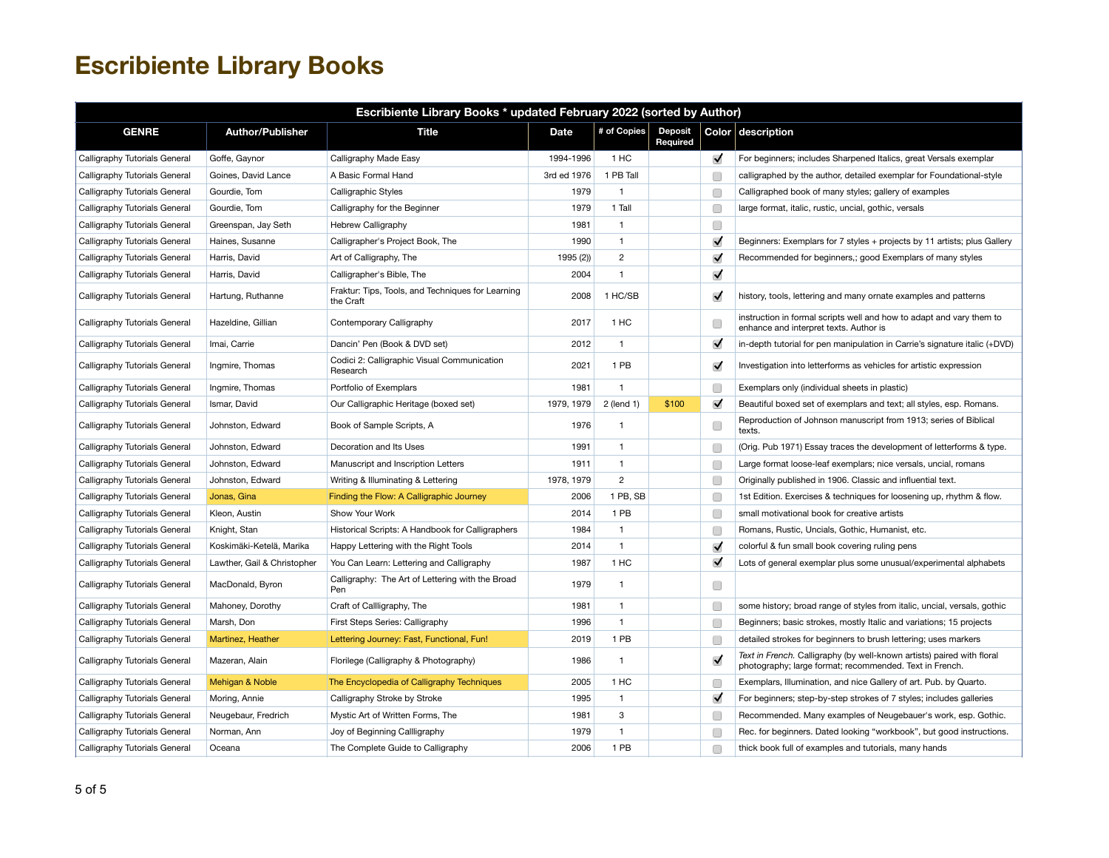| Escribiente Library Books * updated February 2022 (sorted by Author) |                             |                                                                |             |                |                            |                      |                                                                                                                                   |  |  |
|----------------------------------------------------------------------|-----------------------------|----------------------------------------------------------------|-------------|----------------|----------------------------|----------------------|-----------------------------------------------------------------------------------------------------------------------------------|--|--|
| <b>GENRE</b>                                                         | <b>Author/Publisher</b>     | <b>Title</b>                                                   | <b>Date</b> | # of Copies    | <b>Deposit</b><br>Required |                      | Color description                                                                                                                 |  |  |
| Calligraphy Tutorials General                                        | Goffe, Gaynor               | Calligraphy Made Easy                                          | 1994-1996   | 1 HC           |                            | ✓                    | For beginners; includes Sharpened Italics, great Versals exemplar                                                                 |  |  |
| Calligraphy Tutorials General                                        | Goines, David Lance         | A Basic Formal Hand                                            | 3rd ed 1976 | 1 PB Tall      |                            | □                    | calligraphed by the author, detailed exemplar for Foundational-style                                                              |  |  |
| Calligraphy Tutorials General                                        | Gourdie, Tom                | <b>Calligraphic Styles</b>                                     | 1979        | $\mathbf{1}$   |                            | C                    | Calligraphed book of many styles; gallery of examples                                                                             |  |  |
| Calligraphy Tutorials General                                        | Gourdie, Tom                | Calligraphy for the Beginner                                   | 1979        | 1 Tall         |                            | O                    | large format, italic, rustic, uncial, gothic, versals                                                                             |  |  |
| Calligraphy Tutorials General                                        | Greenspan, Jay Seth         | <b>Hebrew Calligraphy</b>                                      | 1981        | $\mathbf{1}$   |                            | □                    |                                                                                                                                   |  |  |
| Calligraphy Tutorials General                                        | Haines, Susanne             | Calligrapher's Project Book, The                               | 1990        | $\mathbf{1}$   |                            | $\blacktriangledown$ | Beginners: Exemplars for 7 styles + projects by 11 artists; plus Gallery                                                          |  |  |
| Calligraphy Tutorials General                                        | Harris, David               | Art of Calligraphy, The                                        | 1995 (2))   | 2              |                            | $\blacktriangledown$ | Recommended for beginners,; good Exemplars of many styles                                                                         |  |  |
| Calligraphy Tutorials General                                        | Harris, David               | Calligrapher's Bible, The                                      | 2004        | $\mathbf{1}$   |                            | ✓                    |                                                                                                                                   |  |  |
| Calligraphy Tutorials General                                        | Hartung, Ruthanne           | Fraktur: Tips, Tools, and Techniques for Learning<br>the Craft | 2008        | 1 HC/SB        |                            | $\blacktriangledown$ | history, tools, lettering and many ornate examples and patterns                                                                   |  |  |
| Calligraphy Tutorials General                                        | Hazeldine, Gillian          | Contemporary Calligraphy                                       | 2017        | 1 HC           |                            | O                    | instruction in formal scripts well and how to adapt and vary them to<br>enhance and interpret texts. Author is                    |  |  |
| Calligraphy Tutorials General                                        | Imai, Carrie                | Dancin' Pen (Book & DVD set)                                   | 2012        | 1              |                            | $\blacktriangledown$ | in-depth tutorial for pen manipulation in Carrie's signature italic (+DVD)                                                        |  |  |
| Calligraphy Tutorials General                                        | Ingmire, Thomas             | Codici 2: Calligraphic Visual Communication<br>Research        | 2021        | 1 PB           |                            | $\blacktriangledown$ | Investigation into letterforms as vehicles for artistic expression                                                                |  |  |
| Calligraphy Tutorials General                                        | Ingmire, Thomas             | Portfolio of Exemplars                                         | 1981        | $\mathbf{1}$   |                            | O                    | Exemplars only (individual sheets in plastic)                                                                                     |  |  |
| Calligraphy Tutorials General                                        | Ismar, David                | Our Calligraphic Heritage (boxed set)                          | 1979, 1979  | 2 (lend 1)     | \$100                      | $\blacktriangledown$ | Beautiful boxed set of exemplars and text; all styles, esp. Romans.                                                               |  |  |
| Calligraphy Tutorials General                                        | Johnston, Edward            | Book of Sample Scripts, A                                      | 1976        | $\mathbf{1}$   |                            | C                    | Reproduction of Johnson manuscript from 1913; series of Biblical<br>texts.                                                        |  |  |
| Calligraphy Tutorials General                                        | Johnston, Edward            | Decoration and Its Uses                                        | 1991        | 1              |                            | □                    | (Orig. Pub 1971) Essay traces the development of letterforms & type.                                                              |  |  |
| Calligraphy Tutorials General                                        | Johnston, Edward            | Manuscript and Inscription Letters                             | 1911        | $\mathbf{1}$   |                            | □                    | Large format loose-leaf exemplars; nice versals, uncial, romans                                                                   |  |  |
| Calligraphy Tutorials General                                        | Johnston, Edward            | Writing & Illuminating & Lettering                             | 1978, 1979  | $\overline{2}$ |                            | O                    | Originally published in 1906. Classic and influential text.                                                                       |  |  |
| Calligraphy Tutorials General                                        | Jonas, Gina                 | Finding the Flow: A Calligraphic Journey                       | 2006        | 1 PB, SB       |                            | O                    | 1st Edition. Exercises & techniques for loosening up, rhythm & flow.                                                              |  |  |
| Calligraphy Tutorials General                                        | Kleon, Austin               | Show Your Work                                                 | 2014        | 1 PB           |                            | □                    | small motivational book for creative artists                                                                                      |  |  |
| Calligraphy Tutorials General                                        | Knight, Stan                | Historical Scripts: A Handbook for Calligraphers               | 1984        | $\mathbf{1}$   |                            | □                    | Romans, Rustic, Uncials, Gothic, Humanist, etc.                                                                                   |  |  |
| Calligraphy Tutorials General                                        | Koskimäki-Ketelä, Marika    | Happy Lettering with the Right Tools                           | 2014        | $\mathbf{1}$   |                            | $\blacktriangledown$ | colorful & fun small book covering ruling pens                                                                                    |  |  |
| Calligraphy Tutorials General                                        | Lawther, Gail & Christopher | You Can Learn: Lettering and Calligraphy                       | 1987        | 1 HC           |                            | $\blacktriangledown$ | Lots of general exemplar plus some unusual/experimental alphabets                                                                 |  |  |
| Calligraphy Tutorials General                                        | MacDonald, Byron            | Calligraphy: The Art of Lettering with the Broad<br>Pen        | 1979        | 1.             |                            | □                    |                                                                                                                                   |  |  |
| Calligraphy Tutorials General                                        | Mahoney, Dorothy            | Craft of Callligraphy, The                                     | 1981        | $\mathbf{1}$   |                            | 0                    | some history; broad range of styles from italic, uncial, versals, gothic                                                          |  |  |
| Calligraphy Tutorials General                                        | Marsh, Don                  | First Steps Series: Calligraphy                                | 1996        | $\mathbf{1}$   |                            | □                    | Beginners; basic strokes, mostly Italic and variations; 15 projects                                                               |  |  |
| Calligraphy Tutorials General                                        | Martinez, Heather           | Lettering Journey: Fast, Functional, Fun!                      | 2019        | 1 PB           |                            | □                    | detailed strokes for beginners to brush lettering; uses markers                                                                   |  |  |
| Calligraphy Tutorials General                                        | Mazeran, Alain              | Florilege (Calligraphy & Photography)                          | 1986        | $\mathbf{1}$   |                            | $\blacktriangledown$ | Text in French. Calligraphy (by well-known artists) paired with floral<br>photography; large format; recommended. Text in French. |  |  |
| Calligraphy Tutorials General                                        | Mehigan & Noble             | The Encyclopedia of Calligraphy Techniques                     | 2005        | 1 HC           |                            | □                    | Exemplars, Illumination, and nice Gallery of art. Pub. by Quarto.                                                                 |  |  |
| Calligraphy Tutorials General                                        | Moring, Annie               | Calligraphy Stroke by Stroke                                   | 1995        | $\mathbf{1}$   |                            | $\blacktriangledown$ | For beginners; step-by-step strokes of 7 styles; includes galleries                                                               |  |  |
| Calligraphy Tutorials General                                        | Neugebaur, Fredrich         | Mystic Art of Written Forms, The                               | 1981        | 3              |                            | O                    | Recommended. Many examples of Neugebauer's work, esp. Gothic.                                                                     |  |  |
| Calligraphy Tutorials General                                        | Norman, Ann                 | Joy of Beginning Callligraphy                                  | 1979        | $\mathbf{1}$   |                            | □                    | Rec. for beginners. Dated looking "workbook", but good instructions.                                                              |  |  |
| Calligraphy Tutorials General                                        | Oceana                      | The Complete Guide to Calligraphy                              | 2006        | 1 PB           |                            | □                    | thick book full of examples and tutorials, many hands                                                                             |  |  |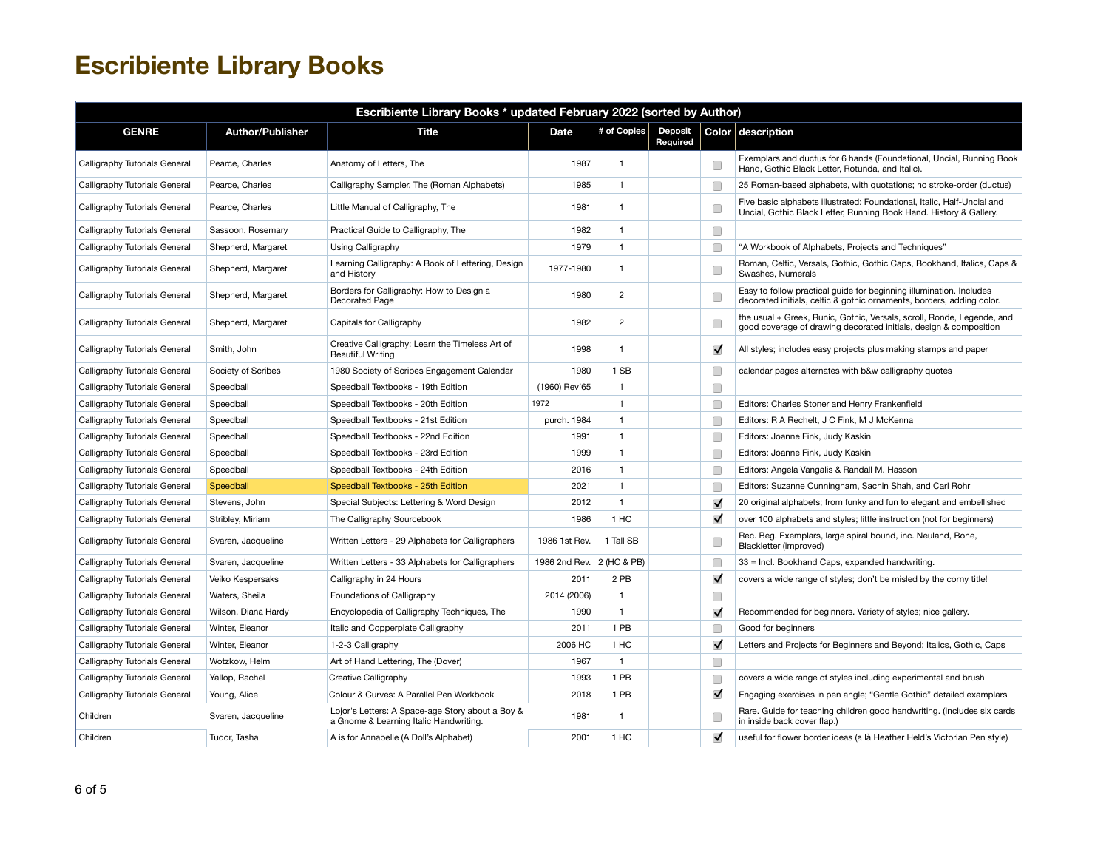| Escribiente Library Books * updated February 2022 (sorted by Author) |                         |                                                                                            |                           |                |                            |                      |                                                                                                                                               |  |  |  |
|----------------------------------------------------------------------|-------------------------|--------------------------------------------------------------------------------------------|---------------------------|----------------|----------------------------|----------------------|-----------------------------------------------------------------------------------------------------------------------------------------------|--|--|--|
| <b>GENRE</b>                                                         | <b>Author/Publisher</b> | Title                                                                                      | Date                      | # of Copies    | <b>Deposit</b><br>Required |                      | Color description                                                                                                                             |  |  |  |
| Calligraphy Tutorials General                                        | Pearce, Charles         | Anatomy of Letters, The                                                                    | 1987                      | $\mathbf{1}$   |                            | C                    | Exemplars and ductus for 6 hands (Foundational, Uncial, Running Book<br>Hand, Gothic Black Letter, Rotunda, and Italic).                      |  |  |  |
| Calligraphy Tutorials General                                        | Pearce, Charles         | Calligraphy Sampler, The (Roman Alphabets)                                                 | 1985                      | $\mathbf{1}$   |                            | C                    | 25 Roman-based alphabets, with quotations; no stroke-order (ductus)                                                                           |  |  |  |
| Calligraphy Tutorials General                                        | Pearce, Charles         | Little Manual of Calligraphy, The                                                          | 1981                      | $\mathbf{1}$   |                            | Œ                    | Five basic alphabets illustrated: Foundational, Italic, Half-Uncial and<br>Uncial, Gothic Black Letter, Running Book Hand. History & Gallery. |  |  |  |
| Calligraphy Tutorials General                                        | Sassoon, Rosemary       | Practical Guide to Calligraphy, The                                                        | 1982                      | $\mathbf{1}$   |                            | $\Box$               |                                                                                                                                               |  |  |  |
| Calligraphy Tutorials General                                        | Shepherd, Margaret      | Using Calligraphy                                                                          | 1979                      | $\mathbf{1}$   |                            | C                    | "A Workbook of Alphabets, Projects and Techniques"                                                                                            |  |  |  |
| Calligraphy Tutorials General                                        | Shepherd, Margaret      | Learning Calligraphy: A Book of Lettering, Design<br>and History                           | 1977-1980                 | $\mathbf{1}$   |                            | C                    | Roman, Celtic, Versals, Gothic, Gothic Caps, Bookhand, Italics, Caps &<br>Swashes, Numerals                                                   |  |  |  |
| Calligraphy Tutorials General                                        | Shepherd, Margaret      | Borders for Calligraphy: How to Design a<br>Decorated Page                                 | 1980                      | $\overline{c}$ |                            | C                    | Easy to follow practical guide for beginning illumination. Includes<br>decorated initials, celtic & gothic ornaments, borders, adding color.  |  |  |  |
| Calligraphy Tutorials General                                        | Shepherd, Margaret      | Capitals for Calligraphy                                                                   | 1982                      | $\overline{c}$ |                            | Œ                    | the usual + Greek, Runic, Gothic, Versals, scroll, Ronde, Legende, and<br>good coverage of drawing decorated initials, design & composition   |  |  |  |
| Calligraphy Tutorials General                                        | Smith, John             | Creative Calligraphy: Learn the Timeless Art of<br><b>Beautiful Writing</b>                | 1998                      | $\mathbf{1}$   |                            | $\blacktriangledown$ | All styles; includes easy projects plus making stamps and paper                                                                               |  |  |  |
| Calligraphy Tutorials General                                        | Society of Scribes      | 1980 Society of Scribes Engagement Calendar                                                | 1980                      | 1 SB           |                            | Г                    | calendar pages alternates with b&w calligraphy quotes                                                                                         |  |  |  |
| Calligraphy Tutorials General                                        | Speedball               | Speedball Textbooks - 19th Edition                                                         | (1960) Rev'65             | $\mathbf{1}$   |                            | Œ                    |                                                                                                                                               |  |  |  |
| Calligraphy Tutorials General                                        | Speedball               | Speedball Textbooks - 20th Edition                                                         | 1972                      | $\mathbf{1}$   |                            | Г                    | Editors: Charles Stoner and Henry Frankenfield                                                                                                |  |  |  |
| Calligraphy Tutorials General                                        | Speedball               | Speedball Textbooks - 21st Edition                                                         | purch. 1984               | $\mathbf{1}$   |                            | Œ                    | Editors: R A Rechelt, J C Fink, M J McKenna                                                                                                   |  |  |  |
| Calligraphy Tutorials General                                        | Speedball               | Speedball Textbooks - 22nd Edition                                                         | 1991                      | $\mathbf{1}$   |                            | C                    | Editors: Joanne Fink, Judy Kaskin                                                                                                             |  |  |  |
| Calligraphy Tutorials General                                        | Speedball               | Speedball Textbooks - 23rd Edition                                                         | 1999                      | $\mathbf{1}$   |                            | C                    | Editors: Joanne Fink, Judy Kaskin                                                                                                             |  |  |  |
| Calligraphy Tutorials General                                        | Speedball               | Speedball Textbooks - 24th Edition                                                         | 2016                      | $\mathbf{1}$   |                            | C                    | Editors: Angela Vangalis & Randall M. Hasson                                                                                                  |  |  |  |
| Calligraphy Tutorials General                                        | Speedball               | Speedball Textbooks - 25th Edition                                                         | 2021                      | $\mathbf{1}$   |                            | C                    | Editors: Suzanne Cunningham, Sachin Shah, and Carl Rohr                                                                                       |  |  |  |
| Calligraphy Tutorials General                                        | Stevens, John           | Special Subjects: Lettering & Word Design                                                  | 2012                      | $\mathbf{1}$   |                            | $\blacktriangledown$ | 20 original alphabets; from funky and fun to elegant and embellished                                                                          |  |  |  |
| Calligraphy Tutorials General                                        | Stribley, Miriam        | The Calligraphy Sourcebook                                                                 | 1986                      | 1 HC           |                            | $\blacktriangledown$ | over 100 alphabets and styles; little instruction (not for beginners)                                                                         |  |  |  |
| Calligraphy Tutorials General                                        | Svaren, Jacqueline      | Written Letters - 29 Alphabets for Calligraphers                                           | 1986 1st Rev.             | 1 Tall SB      |                            | Œ                    | Rec. Beg. Exemplars, large spiral bound, inc. Neuland, Bone,<br>Blackletter (improved)                                                        |  |  |  |
| Calligraphy Tutorials General                                        | Svaren, Jacqueline      | Written Letters - 33 Alphabets for Calligraphers                                           | 1986 2nd Rev. 2 (HC & PB) |                |                            | Œ                    | 33 = Incl. Bookhand Caps, expanded handwriting.                                                                                               |  |  |  |
| Calligraphy Tutorials General                                        | Veiko Kespersaks        | Calligraphy in 24 Hours                                                                    | 2011                      | 2 PB           |                            | $\blacktriangledown$ | covers a wide range of styles; don't be misled by the corny title!                                                                            |  |  |  |
| Calligraphy Tutorials General                                        | Waters, Sheila          | Foundations of Calligraphy                                                                 | 2014 (2006)               | $\mathbf{1}$   |                            | C                    |                                                                                                                                               |  |  |  |
| Calligraphy Tutorials General                                        | Wilson, Diana Hardy     | Encyclopedia of Calligraphy Techniques, The                                                | 1990                      | $\mathbf{1}$   |                            | $\blacktriangledown$ | Recommended for beginners. Variety of styles; nice gallery.                                                                                   |  |  |  |
| Calligraphy Tutorials General                                        | Winter, Eleanor         | Italic and Copperplate Calligraphy                                                         | 2011                      | 1 PB           |                            | Œ                    | Good for beginners                                                                                                                            |  |  |  |
| Calligraphy Tutorials General                                        | Winter, Eleanor         | 1-2-3 Calligraphy                                                                          | 2006 HC                   | 1 HC           |                            | $\blacktriangledown$ | Letters and Projects for Beginners and Beyond; Italics, Gothic, Caps                                                                          |  |  |  |
| Calligraphy Tutorials General                                        | Wotzkow, Helm           | Art of Hand Lettering, The (Dover)                                                         | 1967                      | $\mathbf{1}$   |                            | $\Box$               |                                                                                                                                               |  |  |  |
| Calligraphy Tutorials General                                        | Yallop, Rachel          | Creative Calligraphy                                                                       | 1993                      | 1 PB           |                            | C                    | covers a wide range of styles including experimental and brush                                                                                |  |  |  |
| Calligraphy Tutorials General                                        | Young, Alice            | Colour & Curves: A Parallel Pen Workbook                                                   | 2018                      | 1 PB           |                            | $\blacktriangledown$ | Engaging exercises in pen angle; "Gentle Gothic" detailed examplars                                                                           |  |  |  |
| Children                                                             | Svaren, Jacqueline      | Lojor's Letters: A Space-age Story about a Boy &<br>a Gnome & Learning Italic Handwriting. | 1981                      | $\mathbf{1}$   |                            | C                    | Rare. Guide for teaching children good handwriting. (Includes six cards<br>in inside back cover flap.)                                        |  |  |  |
| Children                                                             | Tudor, Tasha            | A is for Annabelle (A Doll's Alphabet)                                                     | 2001                      | 1 HC           |                            | $\blacktriangledown$ | useful for flower border ideas (a là Heather Held's Victorian Pen style)                                                                      |  |  |  |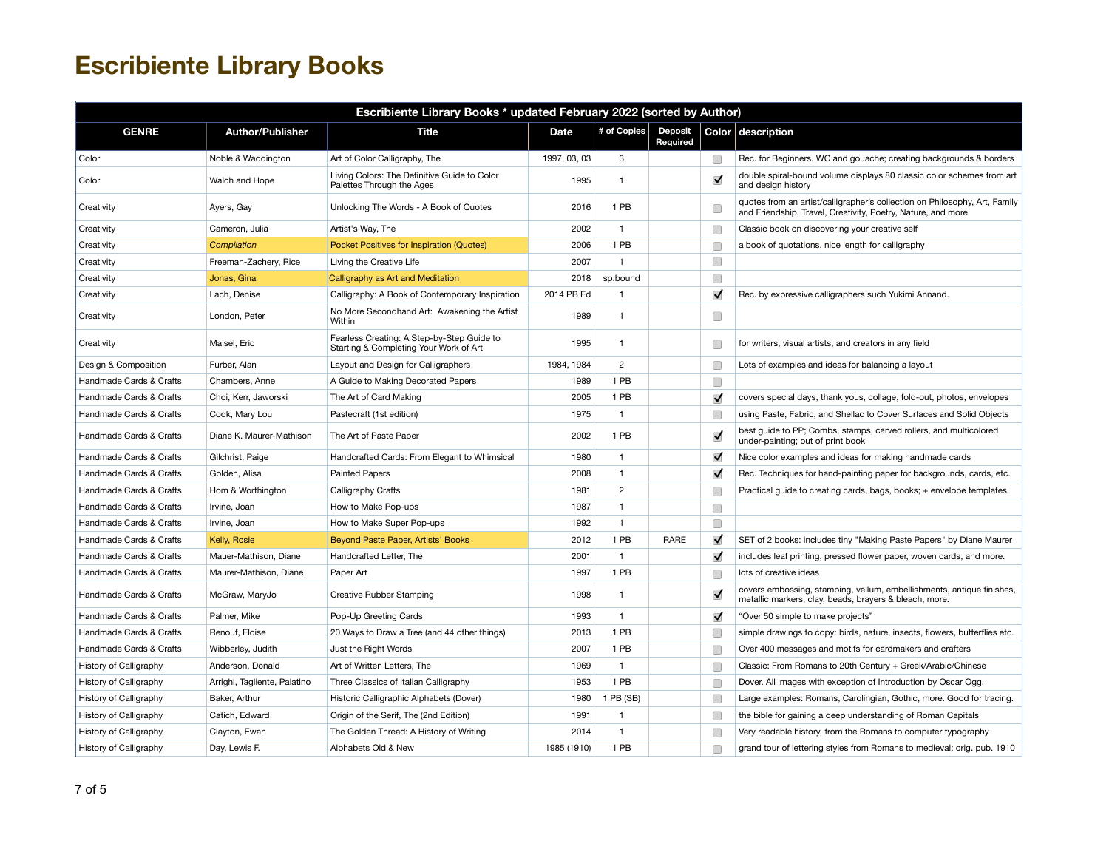| Escribiente Library Books * updated February 2022 (sorted by Author) |                              |                                                                                      |              |                |                            |                         |                                                                                                                                            |  |  |
|----------------------------------------------------------------------|------------------------------|--------------------------------------------------------------------------------------|--------------|----------------|----------------------------|-------------------------|--------------------------------------------------------------------------------------------------------------------------------------------|--|--|
| <b>GENRE</b>                                                         | <b>Author/Publisher</b>      | <b>Title</b>                                                                         | Date         | # of Copies    | <b>Deposit</b><br>Required |                         | Color description                                                                                                                          |  |  |
| Color                                                                | Noble & Waddington           | Art of Color Calligraphy, The                                                        | 1997, 03, 03 | 3              |                            | □                       | Rec. for Beginners. WC and gouache; creating backgrounds & borders                                                                         |  |  |
| Color                                                                | Walch and Hope               | Living Colors: The Definitive Guide to Color<br>Palettes Through the Ages            | 1995         | $\mathbf{1}$   |                            | $\overline{\mathsf{v}}$ | double spiral-bound volume displays 80 classic color schemes from art<br>and design history                                                |  |  |
| Creativity                                                           | Ayers, Gay                   | Unlocking The Words - A Book of Quotes                                               | 2016         | 1 PB           |                            | Œ                       | quotes from an artist/calligrapher's collection on Philosophy, Art, Family<br>and Friendship, Travel, Creativity, Poetry, Nature, and more |  |  |
| Creativity                                                           | Cameron, Julia               | Artist's Way, The                                                                    | 2002         | $\mathbf{1}$   |                            | O                       | Classic book on discovering your creative self                                                                                             |  |  |
| Creativity                                                           | Compilation                  | Pocket Positives for Inspiration (Quotes)                                            | 2006         | 1 PB           |                            | C                       | a book of quotations, nice length for calligraphy                                                                                          |  |  |
| Creativity                                                           | Freeman-Zachery, Rice        | Living the Creative Life                                                             | 2007         | $\mathbf{1}$   |                            | O                       |                                                                                                                                            |  |  |
| Creativity                                                           | Jonas, Gina                  | Calligraphy as Art and Meditation                                                    | 2018         | sp.bound       |                            | □                       |                                                                                                                                            |  |  |
| Creativity                                                           | Lach, Denise                 | Calligraphy: A Book of Contemporary Inspiration                                      | 2014 PB Ed   | $\mathbf{1}$   |                            | $\blacktriangledown$    | Rec. by expressive calligraphers such Yukimi Annand.                                                                                       |  |  |
| Creativity                                                           | London, Peter                | No More Secondhand Art: Awakening the Artist<br>Within                               | 1989         | $\mathbf{1}$   |                            | O                       |                                                                                                                                            |  |  |
| Creativity                                                           | Maisel, Eric                 | Fearless Creating: A Step-by-Step Guide to<br>Starting & Completing Your Work of Art | 1995         | $\mathbf{1}$   |                            | □                       | for writers, visual artists, and creators in any field                                                                                     |  |  |
| Design & Composition                                                 | Furber, Alan                 | Layout and Design for Calligraphers                                                  | 1984, 1984   | $\overline{2}$ |                            | Г                       | Lots of examples and ideas for balancing a layout                                                                                          |  |  |
| Handmade Cards & Crafts                                              | Chambers, Anne               | A Guide to Making Decorated Papers                                                   | 1989         | 1 PB           |                            | $\Box$                  |                                                                                                                                            |  |  |
| Handmade Cards & Crafts                                              | Choi, Kerr, Jaworski         | The Art of Card Making                                                               | 2005         | 1 PB           |                            | $\blacktriangledown$    | covers special days, thank yous, collage, fold-out, photos, envelopes                                                                      |  |  |
| Handmade Cards & Crafts                                              | Cook, Mary Lou               | Pastecraft (1st edition)                                                             | 1975         | $\mathbf{1}$   |                            | Œ                       | using Paste, Fabric, and Shellac to Cover Surfaces and Solid Objects                                                                       |  |  |
| Handmade Cards & Crafts                                              | Diane K. Maurer-Mathison     | The Art of Paste Paper                                                               | 2002         | 1 PB           |                            | $\blacktriangledown$    | best guide to PP; Combs, stamps, carved rollers, and multicolored<br>under-painting; out of print book                                     |  |  |
| Handmade Cards & Crafts                                              | Gilchrist, Paige             | Handcrafted Cards: From Elegant to Whimsical                                         | 1980         | $\mathbf{1}$   |                            | $\blacktriangledown$    | Nice color examples and ideas for making handmade cards                                                                                    |  |  |
| Handmade Cards & Crafts                                              | Golden, Alisa                | <b>Painted Papers</b>                                                                | 2008         | $\mathbf{1}$   |                            | $\blacktriangledown$    | Rec. Techniques for hand-painting paper for backgrounds, cards, etc.                                                                       |  |  |
| Handmade Cards & Crafts                                              | Hom & Worthington            | Calligraphy Crafts                                                                   | 1981         | $\overline{c}$ |                            | C                       | Practical guide to creating cards, bags, books; + envelope templates                                                                       |  |  |
| Handmade Cards & Crafts                                              | Irvine, Joan                 | How to Make Pop-ups                                                                  | 1987         | $\mathbf{1}$   |                            | O                       |                                                                                                                                            |  |  |
| Handmade Cards & Crafts                                              | Irvine, Joan                 | How to Make Super Pop-ups                                                            | 1992         | $\mathbf{1}$   |                            | □                       |                                                                                                                                            |  |  |
| Handmade Cards & Crafts                                              | Kelly, Rosie                 | Beyond Paste Paper, Artists' Books                                                   | 2012         | 1 PB           | RARE                       | $\blacktriangledown$    | SET of 2 books: includes tiny "Making Paste Papers" by Diane Maurer                                                                        |  |  |
| Handmade Cards & Crafts                                              | Mauer-Mathison, Diane        | Handcrafted Letter, The                                                              | 2001         | $\mathbf{1}$   |                            | $\blacktriangledown$    | includes leaf printing, pressed flower paper, woven cards, and more.                                                                       |  |  |
| Handmade Cards & Crafts                                              | Maurer-Mathison, Diane       | Paper Art                                                                            | 1997         | 1 PB           |                            | C                       | lots of creative ideas                                                                                                                     |  |  |
| Handmade Cards & Crafts                                              | McGraw, MaryJo               | Creative Rubber Stamping                                                             | 1998         | $\mathbf{1}$   |                            | $\overline{\mathsf{v}}$ | covers embossing, stamping, vellum, embellishments, antique finishes,<br>metallic markers, clay, beads, brayers & bleach, more.            |  |  |
| Handmade Cards & Crafts                                              | Palmer, Mike                 | Pop-Up Greeting Cards                                                                | 1993         | $\mathbf{1}$   |                            | $\blacktriangledown$    | "Over 50 simple to make projects"                                                                                                          |  |  |
| Handmade Cards & Crafts                                              | Renouf, Eloise               | 20 Ways to Draw a Tree (and 44 other things)                                         | 2013         | 1 PB           |                            | Œ                       | simple drawings to copy: birds, nature, insects, flowers, butterflies etc.                                                                 |  |  |
| Handmade Cards & Crafts                                              | Wibberley, Judith            | Just the Right Words                                                                 | 2007         | 1 PB           |                            | C                       | Over 400 messages and motifs for cardmakers and crafters                                                                                   |  |  |
| History of Calligraphy                                               | Anderson, Donald             | Art of Written Letters, The                                                          | 1969         | $\mathbf{1}$   |                            | Œ                       | Classic: From Romans to 20th Century + Greek/Arabic/Chinese                                                                                |  |  |
| History of Calligraphy                                               | Arrighi, Tagliente, Palatino | Three Classics of Italian Calligraphy                                                | 1953         | 1 PB           |                            | Г                       | Dover. All images with exception of Introduction by Oscar Ogg.                                                                             |  |  |
| History of Calligraphy                                               | Baker, Arthur                | Historic Calligraphic Alphabets (Dover)                                              | 1980         | 1 PB (SB)      |                            | Œ                       | Large examples: Romans, Carolingian, Gothic, more. Good for tracing.                                                                       |  |  |
| History of Calligraphy                                               | Catich, Edward               | Origin of the Serif, The (2nd Edition)                                               | 1991         | $\mathbf{1}$   |                            | C                       | the bible for gaining a deep understanding of Roman Capitals                                                                               |  |  |
| History of Calligraphy                                               | Clayton, Ewan                | The Golden Thread: A History of Writing                                              | 2014         | $\mathbf{1}$   |                            | Œ                       | Very readable history, from the Romans to computer typography                                                                              |  |  |
| History of Calligraphy                                               | Day, Lewis F.                | Alphabets Old & New                                                                  | 1985 (1910)  | 1 PB           |                            | □                       | grand tour of lettering styles from Romans to medieval; orig. pub. 1910                                                                    |  |  |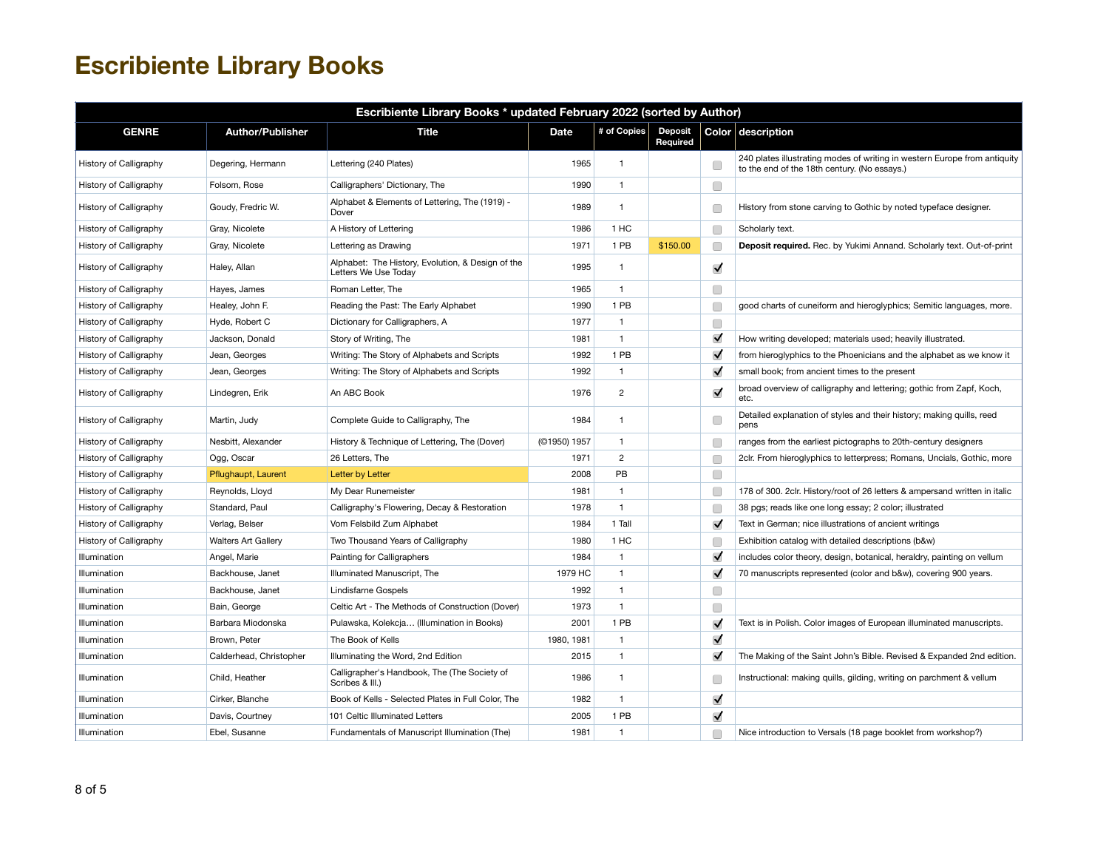| Escribiente Library Books * updated February 2022 (sorted by Author) |                            |                                                                           |              |                |                            |                      |                                                                                                                           |  |  |
|----------------------------------------------------------------------|----------------------------|---------------------------------------------------------------------------|--------------|----------------|----------------------------|----------------------|---------------------------------------------------------------------------------------------------------------------------|--|--|
| <b>GENRE</b>                                                         | <b>Author/Publisher</b>    | <b>Title</b>                                                              | Date         | # of Copies    | <b>Deposit</b><br>Required |                      | Color description                                                                                                         |  |  |
| History of Calligraphy                                               | Degering, Hermann          | Lettering (240 Plates)                                                    | 1965         | $\mathbf{1}$   |                            | C                    | 240 plates illustrating modes of writing in western Europe from antiquity<br>to the end of the 18th century. (No essays.) |  |  |
| History of Calligraphy                                               | Folsom, Rose               | Calligraphers' Dictionary, The                                            | 1990         | $\mathbf{1}$   |                            | $\Box$               |                                                                                                                           |  |  |
| History of Calligraphy                                               | Goudy, Fredric W.          | Alphabet & Elements of Lettering, The (1919) -<br>Dover                   | 1989         | $\mathbf{1}$   |                            | C                    | History from stone carving to Gothic by noted typeface designer.                                                          |  |  |
| History of Calligraphy                                               | Gray, Nicolete             | A History of Lettering                                                    | 1986         | 1 HC           |                            | $\Box$               | Scholarly text.                                                                                                           |  |  |
| History of Calligraphy                                               | Gray, Nicolete             | Lettering as Drawing                                                      | 1971         | 1 PB           | \$150.00                   | C                    | Deposit required. Rec. by Yukimi Annand. Scholarly text. Out-of-print                                                     |  |  |
| History of Calligraphy                                               | Haley, Allan               | Alphabet: The History, Evolution, & Design of the<br>Letters We Use Today | 1995         | $\mathbf{1}$   |                            | ✓                    |                                                                                                                           |  |  |
| History of Calligraphy                                               | Hayes, James               | Roman Letter, The                                                         | 1965         | $\mathbf{1}$   |                            | $\Box$               |                                                                                                                           |  |  |
| History of Calligraphy                                               | Healey, John F.            | Reading the Past: The Early Alphabet                                      | 1990         | 1 PB           |                            | C                    | good charts of cuneiform and hieroglyphics; Semitic languages, more.                                                      |  |  |
| History of Calligraphy                                               | Hyde, Robert C             | Dictionary for Calligraphers, A                                           | 1977         | $\mathbf{1}$   |                            | $\Box$               |                                                                                                                           |  |  |
| History of Calligraphy                                               | Jackson, Donald            | Story of Writing, The                                                     | 1981         | $\mathbf{1}$   |                            | $\blacktriangledown$ | How writing developed; materials used; heavily illustrated.                                                               |  |  |
| History of Calligraphy                                               | Jean, Georges              | Writing: The Story of Alphabets and Scripts                               | 1992         | 1 PB           |                            | $\blacktriangledown$ | from hieroglyphics to the Phoenicians and the alphabet as we know it                                                      |  |  |
| History of Calligraphy                                               | Jean, Georges              | Writing: The Story of Alphabets and Scripts                               | 1992         | $\mathbf{1}$   |                            | $\blacktriangledown$ | small book; from ancient times to the present                                                                             |  |  |
| History of Calligraphy                                               | Lindegren, Erik            | An ABC Book                                                               | 1976         | $\overline{c}$ |                            | $\blacktriangledown$ | broad overview of calligraphy and lettering; gothic from Zapf, Koch,<br>etc.                                              |  |  |
| History of Calligraphy                                               | Martin, Judy               | Complete Guide to Calligraphy, The                                        | 1984         | $\mathbf{1}$   |                            | C                    | Detailed explanation of styles and their history; making quills, reed<br>pens                                             |  |  |
| History of Calligraphy                                               | Nesbitt, Alexander         | History & Technique of Lettering, The (Dover)                             | (©1950) 1957 | $\mathbf{1}$   |                            | □                    | ranges from the earliest pictographs to 20th-century designers                                                            |  |  |
| History of Calligraphy                                               | Ogg, Oscar                 | 26 Letters, The                                                           | 1971         | $\overline{2}$ |                            | C                    | 2clr. From hieroglyphics to letterpress; Romans, Uncials, Gothic, more                                                    |  |  |
| History of Calligraphy                                               | Pflughaupt, Laurent        | Letter by Letter                                                          | 2008         | PB             |                            | $\Box$               |                                                                                                                           |  |  |
| History of Calligraphy                                               | Reynolds, Lloyd            | My Dear Runemeister                                                       | 1981         | $\mathbf{1}$   |                            | C                    | 178 of 300. 2clr. History/root of 26 letters & ampersand written in italic                                                |  |  |
| History of Calligraphy                                               | Standard, Paul             | Calligraphy's Flowering, Decay & Restoration                              | 1978         | $\mathbf{1}$   |                            | С                    | 38 pgs; reads like one long essay; 2 color; illustrated                                                                   |  |  |
| History of Calligraphy                                               | Verlag, Belser             | Vom Felsbild Zum Alphabet                                                 | 1984         | 1 Tall         |                            | $\blacktriangledown$ | Text in German; nice illustrations of ancient writings                                                                    |  |  |
| History of Calligraphy                                               | <b>Walters Art Gallery</b> | Two Thousand Years of Calligraphy                                         | 1980         | 1 HC           |                            | C                    | Exhibition catalog with detailed descriptions (b&w)                                                                       |  |  |
| Illumination                                                         | Angel, Marie               | Painting for Calligraphers                                                | 1984         | $\mathbf{1}$   |                            | ✓                    | includes color theory, design, botanical, heraldry, painting on vellum                                                    |  |  |
| Illumination                                                         | Backhouse, Janet           | Illuminated Manuscript, The                                               | 1979 HC      | $\mathbf{1}$   |                            | $\blacktriangledown$ | 70 manuscripts represented (color and b&w), covering 900 years.                                                           |  |  |
| Illumination                                                         | Backhouse, Janet           | Lindisfarne Gospels                                                       | 1992         | $\mathbf{1}$   |                            | $\Box$               |                                                                                                                           |  |  |
| Illumination                                                         | Bain, George               | Celtic Art - The Methods of Construction (Dover)                          | 1973         | $\mathbf{1}$   |                            | ∩                    |                                                                                                                           |  |  |
| Illumination                                                         | Barbara Miodonska          | Pulawska, Kolekcja (Illumination in Books)                                | 2001         | 1 PB           |                            | $\blacktriangledown$ | Text is in Polish. Color images of European illuminated manuscripts.                                                      |  |  |
| Illumination                                                         | Brown, Peter               | The Book of Kells                                                         | 1980, 1981   | $\mathbf{1}$   |                            | ✓                    |                                                                                                                           |  |  |
| Illumination                                                         | Calderhead, Christopher    | Illuminating the Word, 2nd Edition                                        | 2015         | $\mathbf{1}$   |                            | $\blacktriangledown$ | The Making of the Saint John's Bible. Revised & Expanded 2nd edition.                                                     |  |  |
| Illumination                                                         | Child, Heather             | Calligrapher's Handbook, The (The Society of<br>Scribes & III.)           | 1986         | $\mathbf{1}$   |                            | C                    | Instructional: making quills, gilding, writing on parchment & vellum                                                      |  |  |
| Illumination                                                         | Cirker, Blanche            | Book of Kells - Selected Plates in Full Color, The                        | 1982         | $\mathbf{1}$   |                            | ✓                    |                                                                                                                           |  |  |
| Illumination                                                         | Davis, Courtney            | 101 Celtic Illuminated Letters                                            | 2005         | 1 PB           |                            | ✓                    |                                                                                                                           |  |  |
| Illumination                                                         | Ebel. Susanne              | Fundamentals of Manuscript Illumination (The)                             | 1981         | $\mathbf{1}$   |                            | □                    | Nice introduction to Versals (18 page booklet from workshop?)                                                             |  |  |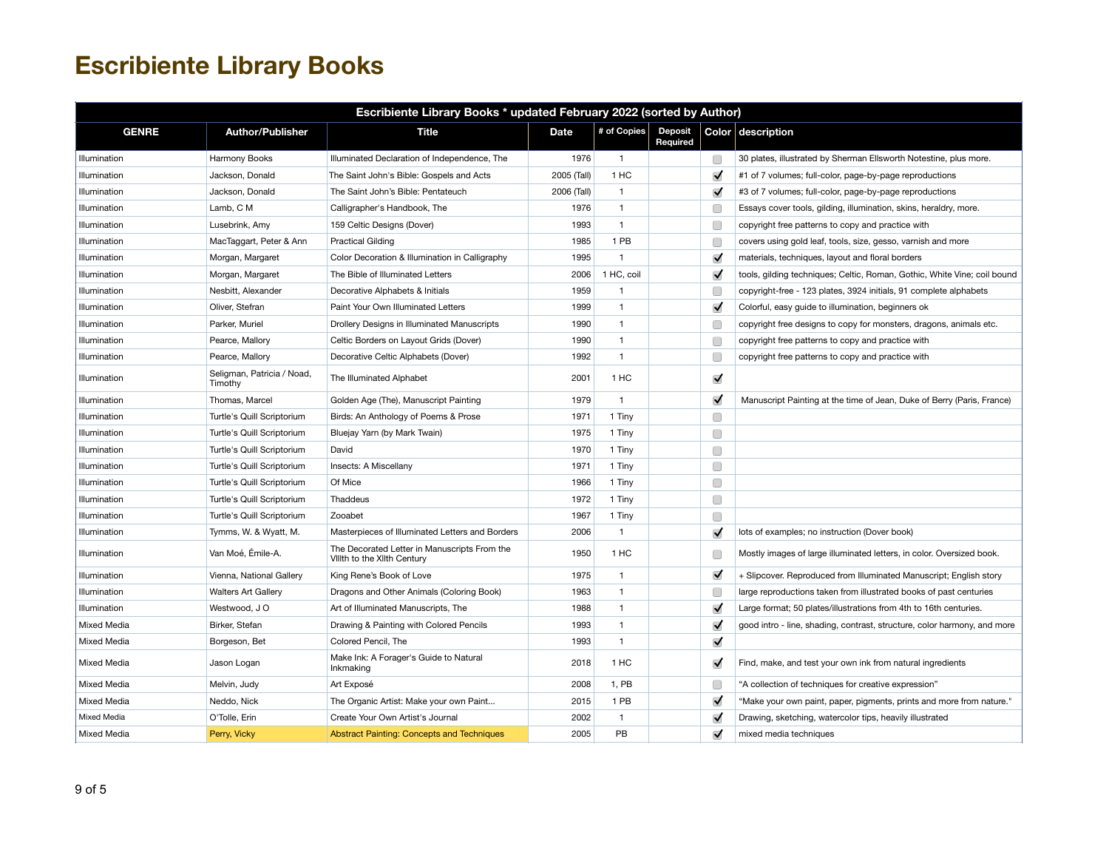| Escribiente Library Books * updated February 2022 (sorted by Author) |                                       |                                                                             |             |              |                            |                      |                                                                          |  |  |
|----------------------------------------------------------------------|---------------------------------------|-----------------------------------------------------------------------------|-------------|--------------|----------------------------|----------------------|--------------------------------------------------------------------------|--|--|
| <b>GENRE</b>                                                         | <b>Author/Publisher</b>               | <b>Title</b>                                                                | <b>Date</b> | # of Copies  | <b>Deposit</b><br>Required |                      | Color description                                                        |  |  |
| Illumination                                                         | Harmony Books                         | Illuminated Declaration of Independence, The                                | 1976        | $\mathbf{1}$ |                            | O                    | 30 plates, illustrated by Sherman Ellsworth Notestine, plus more.        |  |  |
| Illumination                                                         | Jackson, Donald                       | The Saint John's Bible: Gospels and Acts                                    | 2005 (Tall) | 1 HC         |                            | $\blacktriangledown$ | #1 of 7 volumes; full-color, page-by-page reproductions                  |  |  |
| Illumination                                                         | Jackson, Donald                       | The Saint John's Bible: Pentateuch                                          | 2006 (Tall) | $\mathbf{1}$ |                            | $\blacktriangledown$ | #3 of 7 volumes; full-color, page-by-page reproductions                  |  |  |
| Illumination                                                         | Lamb, C M                             | Calligrapher's Handbook, The                                                | 1976        | $\mathbf{1}$ |                            | C                    | Essays cover tools, gilding, illumination, skins, heraldry, more.        |  |  |
| Illumination                                                         | Lusebrink, Amy                        | 159 Celtic Designs (Dover)                                                  | 1993        | $\mathbf{1}$ |                            | Œ                    | copyright free patterns to copy and practice with                        |  |  |
| Illumination                                                         | MacTaggart, Peter & Ann               | <b>Practical Gilding</b>                                                    | 1985        | 1 PB         |                            | Г                    | covers using gold leaf, tools, size, gesso, varnish and more             |  |  |
| Illumination                                                         | Morgan, Margaret                      | Color Decoration & Illumination in Calligraphy                              | 1995        | $\mathbf{1}$ |                            | $\blacktriangledown$ | materials, techniques, layout and floral borders                         |  |  |
| Illumination                                                         | Morgan, Margaret                      | The Bible of Illuminated Letters                                            | 2006        | 1 HC, coil   |                            | $\blacktriangledown$ | tools, gilding techniques; Celtic, Roman, Gothic, White Vine; coil bound |  |  |
| Illumination                                                         | Nesbitt, Alexander                    | Decorative Alphabets & Initials                                             | 1959        | $\mathbf{1}$ |                            | С                    | copyright-free - 123 plates, 3924 initials, 91 complete alphabets        |  |  |
| Illumination                                                         | Oliver, Stefran                       | Paint Your Own Illuminated Letters                                          | 1999        | $\mathbf{1}$ |                            | $\blacktriangledown$ | Colorful, easy guide to illumination, beginners ok                       |  |  |
| Illumination                                                         | Parker, Muriel                        | Drollery Designs in Illuminated Manuscripts                                 | 1990        | $\mathbf{1}$ |                            | Г                    | copyright free designs to copy for monsters, dragons, animals etc.       |  |  |
| Illumination                                                         | Pearce, Mallory                       | Celtic Borders on Layout Grids (Dover)                                      | 1990        | $\mathbf{1}$ |                            | Г                    | copyright free patterns to copy and practice with                        |  |  |
| Illumination                                                         | Pearce, Mallory                       | Decorative Celtic Alphabets (Dover)                                         | 1992        | $\mathbf{1}$ |                            | С                    | copyright free patterns to copy and practice with                        |  |  |
| Illumination                                                         | Seligman, Patricia / Noad,<br>Timothy | The Illuminated Alphabet                                                    | 2001        | 1 HC         |                            | $\blacktriangledown$ |                                                                          |  |  |
| Illumination                                                         | Thomas, Marcel                        | Golden Age (The), Manuscript Painting                                       | 1979        | $\mathbf{1}$ |                            | $\blacktriangledown$ | Manuscript Painting at the time of Jean, Duke of Berry (Paris, France)   |  |  |
| Illumination                                                         | Turtle's Quill Scriptorium            | Birds: An Anthology of Poems & Prose                                        | 1971        | 1 Tiny       |                            | $\Box$               |                                                                          |  |  |
| Illumination                                                         | Turtle's Quill Scriptorium            | Bluejay Yarn (by Mark Twain)                                                | 1975        | 1 Tiny       |                            | O                    |                                                                          |  |  |
| Illumination                                                         | Turtle's Quill Scriptorium            | David                                                                       | 1970        | 1 Tiny       |                            | O                    |                                                                          |  |  |
| Illumination                                                         | Turtle's Quill Scriptorium            | Insects: A Miscellany                                                       | 1971        | 1 Tiny       |                            | □                    |                                                                          |  |  |
| Illumination                                                         | Turtle's Quill Scriptorium            | Of Mice                                                                     | 1966        | 1 Tiny       |                            | □                    |                                                                          |  |  |
| Illumination                                                         | Turtle's Quill Scriptorium            | Thaddeus                                                                    | 1972        | 1 Tiny       |                            | □                    |                                                                          |  |  |
| Illumination                                                         | Turtle's Quill Scriptorium            | Zooabet                                                                     | 1967        | 1 Tiny       |                            | C                    |                                                                          |  |  |
| Illumination                                                         | Tymms, W. & Wyatt, M.                 | Masterpieces of Illuminated Letters and Borders                             | 2006        | $\mathbf{1}$ |                            | $\blacktriangledown$ | lots of examples; no instruction (Dover book)                            |  |  |
| Illumination                                                         | Van Moé, Émile-A.                     | The Decorated Letter in Manuscripts From the<br>Villth to the Xilth Century | 1950        | 1 HC         |                            | Г                    | Mostly images of large illuminated letters, in color. Oversized book.    |  |  |
| Illumination                                                         | Vienna, National Gallery              | King Rene's Book of Love                                                    | 1975        | $\mathbf{1}$ |                            | $\blacktriangledown$ | + Slipcover. Reproduced from Illuminated Manuscript; English story       |  |  |
| Illumination                                                         | <b>Walters Art Gallery</b>            | Dragons and Other Animals (Coloring Book)                                   | 1963        | $\mathbf{1}$ |                            | Œ                    | large reproductions taken from illustrated books of past centuries       |  |  |
| Illumination                                                         | Westwood, J O                         | Art of Illuminated Manuscripts, The                                         | 1988        | $\mathbf{1}$ |                            | $\blacktriangledown$ | Large format; 50 plates/illustrations from 4th to 16th centuries.        |  |  |
| Mixed Media                                                          | Birker, Stefan                        | Drawing & Painting with Colored Pencils                                     | 1993        | $\mathbf{1}$ |                            | $\blacktriangledown$ | good intro - line, shading, contrast, structure, color harmony, and more |  |  |
| Mixed Media                                                          | Borgeson, Bet                         | Colored Pencil, The                                                         | 1993        | $\mathbf{1}$ |                            | $\blacktriangledown$ |                                                                          |  |  |
| Mixed Media                                                          | Jason Logan                           | Make Ink: A Forager's Guide to Natural<br>Inkmaking                         | 2018        | 1 HC         |                            | $\blacktriangledown$ | Find, make, and test your own ink from natural ingredients               |  |  |
| Mixed Media                                                          | Melvin, Judy                          | Art Exposé                                                                  | 2008        | 1, PB        |                            | Г                    | "A collection of techniques for creative expression"                     |  |  |
| Mixed Media                                                          | Neddo, Nick                           | The Organic Artist: Make your own Paint                                     | 2015        | 1 PB         |                            | $\blacktriangledown$ | "Make your own paint, paper, pigments, prints and more from nature."     |  |  |
| Mixed Media                                                          | O'Tolle, Erin                         | Create Your Own Artist's Journal                                            | 2002        | $\mathbf{1}$ |                            | $\blacktriangledown$ | Drawing, sketching, watercolor tips, heavily illustrated                 |  |  |
| Mixed Media                                                          | Perry, Vicky                          | <b>Abstract Painting: Concepts and Techniques</b>                           | 2005        | PB           |                            | $\blacktriangledown$ | mixed media techniques                                                   |  |  |